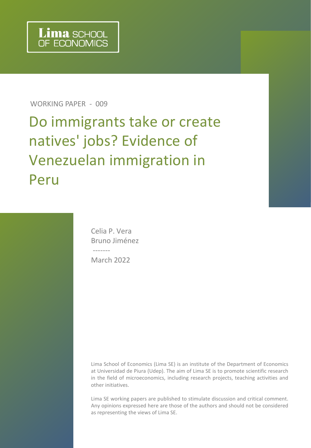WORKING PAPER - 009

Do immigrants take or create natives' jobs? Evidence of Venezuelan immigration in Peru

> Celia P. Vera Bruno Jiménez ------- March 2022

Lima School of Economics (Lima SE) is an institute of the Department of Economics at Universidad de Piura (Udep). The aim of Lima SE is to promote scientific research in the field of microeconomics, including research projects, teaching activities and other initiatives.

Lima SE working papers are published to stimulate discussion and critical comment. Any opinions expressed here are those of the authors and should not be considered as representing the views of Lima SE.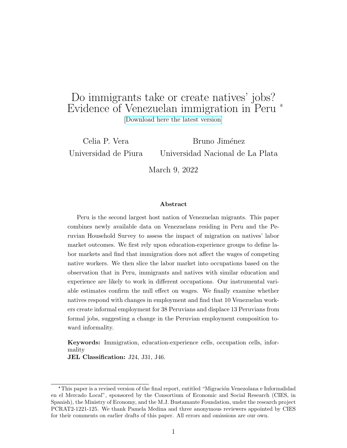## <span id="page-1-0"></span>Do immigrants take or create natives' jobs? Evidence of Venezuelan immigration in Peru \* [\[Download here the latest version\]](https://www.dropbox.com/s/8dkc9ay98o7s9g6/Mig2.pdf?dl=0 )

Celia P. Vera Universidad de Piura Bruno Jiménez Universidad Nacional de La Plata

March 9, 2022

#### Abstract

Peru is the second largest host nation of Venezuelan migrants. This paper combines newly available data on Venezuelans residing in Peru and the Peruvian Household Survey to assess the impact of migration on natives' labor market outcomes. We first rely upon education-experience groups to define labor markets and find that immigration does not affect the wages of competing native workers. We then slice the labor market into occupations based on the observation that in Peru, immigrants and natives with similar education and experience are likely to work in different occupations. Our instrumental variable estimates confirm the null effect on wages. We finally examine whether natives respond with changes in employment and find that 10 Venezuelan workers create informal employment for 38 Peruvians and displace 13 Peruvians from formal jobs, suggesting a change in the Peruvian employment composition toward informality.

Keywords: Immigration, education-experience cells, occupation cells, informality

JEL Classification: J24, J31, J46.

<sup>\*</sup>This paper is a revised version of the final report, entitled "Migración Venezolana e Informalidad" en el Mercado Local", sponsored by the Consortium of Economic and Social Research (CIES, in Spanish), the Ministry of Economy, and the M.J. Bustamante Foundation, under the research project PCRAT2-1221-125. We thank Pamela Medina and three anonymous reviewers appointed by CIES for their comments on earlier drafts of this paper. All errors and omissions are our own.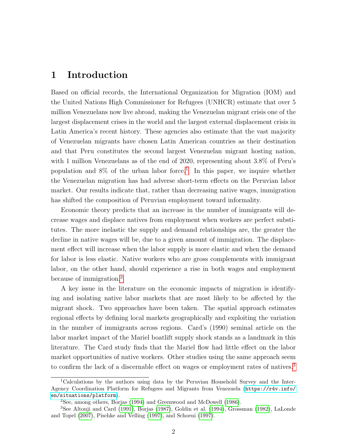#### 1 Introduction

Based on official records, the International Organization for Migration (IOM) and the United Nations High Commissioner for Refugees (UNHCR) estimate that over 5 million Venezuelans now live abroad, making the Venezuelan migrant crisis one of the largest displacement crises in the world and the largest external displacement crisis in Latin America's recent history. These agencies also estimate that the vast majority of Venezuelan migrants have chosen Latin American countries as their destination and that Peru constitutes the second largest Venezuelan migrant hosting nation, with 1 million Venezuelans as of the end of 2020, representing about 3.8% of Peru's population and  $8\%$  of the urban labor force.<sup>[1](#page-1-0)</sup> In this paper, we inquire whether the Venezuelan migration has had adverse short-term effects on the Peruvian labor market. Our results indicate that, rather than decreasing native wages, immigration has shifted the composition of Peruvian employment toward informality.

Economic theory predicts that an increase in the number of immigrants will decrease wages and displace natives from employment when workers are perfect substitutes. The more inelastic the supply and demand relationships are, the greater the decline in native wages will be, due to a given amount of immigration. The displacement effect will increase when the labor supply is more elastic and when the demand for labor is less elastic. Native workers who are gross complements with immigrant labor, on the other hand, should experience a rise in both wages and employment because of immigration.[2](#page-1-0)

A key issue in the literature on the economic impacts of migration is identifying and isolating native labor markets that are most likely to be affected by the migrant shock. Two approaches have been taken. The spatial approach estimates regional effects by defining local markets geographically and exploiting the variation in the number of immigrants across regions. Card's (1990) seminal article on the labor market impact of the Mariel boatlift supply shock stands as a landmark in this literature. The Card study finds that the Mariel flow had little effect on the labor market opportunities of native workers. Other studies using the same approach seem to confirm the lack of a discernable effect on wages or employment rates of natives.<sup>[3](#page-1-0)</sup>

<sup>1</sup>Calculations by the authors using data by the Peruvian Household Survey and the Inter-Agency Coordination Platform for Refugees and Migrants from Venezuela ([https://r4v.info/](https://r4v.info/en/situations/platform) [en/situations/platform](https://r4v.info/en/situations/platform)).

<sup>2</sup>See, among others, Borjas [\(1994\)](#page-32-0) and Greenwood and McDowell [\(1986\)](#page-35-0).

<sup>3</sup>See Altonji and Card [\(1991\)](#page-31-0), Borjas [\(1987\)](#page-32-1), Goldin et al. [\(1994\)](#page-34-0), Grossman [\(1982\)](#page-35-1), LaLonde and Topel [\(2007\)](#page-35-2), Pischke and Velling [\(1997\)](#page-36-0), and Schoeni [\(1997\)](#page-36-1).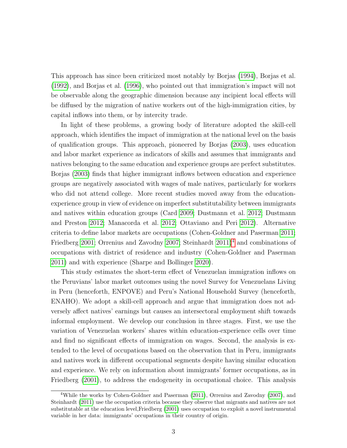This approach has since been criticized most notably by Borjas [\(1994\)](#page-32-0), Borjas et al. [\(1992\)](#page-32-2), and Borjas et al. [\(1996\)](#page-32-3), who pointed out that immigration's impact will not be observable along the geographic dimension because any incipient local effects will be diffused by the migration of native workers out of the high-immigration cities, by capital inflows into them, or by intercity trade.

In light of these problems, a growing body of literature adopted the skill-cell approach, which identifies the impact of immigration at the national level on the basis of qualification groups. This approach, pioneered by Borjas [\(2003\)](#page-32-4), uses education and labor market experience as indicators of skills and assumes that immigrants and natives belonging to the same education and experience groups are perfect substitutes. Borjas [\(2003\)](#page-32-4) finds that higher immigrant inflows between education and experience groups are negatively associated with wages of male natives, particularly for workers who did not attend college. More recent studies moved away from the educationexperience group in view of evidence on imperfect substitutability between immigrants and natives within education groups (Card [2009;](#page-33-0) Dustmann et al. [2012;](#page-34-1) Dustmann and Preston [2012;](#page-34-2) Manacorda et al. [2012;](#page-36-2) Ottaviano and Peri [2012\)](#page-36-3). Alternative criteria to define labor markets are occupations (Cohen-Goldner and Paserman [2011;](#page-33-1) Friedberg [2001;](#page-34-3) Orrenius and Zavodny [2007;](#page-36-4) Steinhardt  $2011)^4$  $2011)^4$  and combinations of occupations with district of residence and industry (Cohen-Goldner and Paserman [2011\)](#page-33-1) and with experience (Sharpe and Bollinger [2020\)](#page-36-5).

This study estimates the short-term effect of Venezuelan immigration inflows on the Peruvians' labor market outcomes using the novel Survey for Venezuelans Living in Peru (henceforth, ENPOVE) and Peru's National Household Survey (henceforth, ENAHO). We adopt a skill-cell approach and argue that immigration does not adversely affect natives' earnings but causes an intersectoral employment shift towards informal employment. We develop our conclusion in three stages. First, we use the variation of Venezuelan workers' shares within education-experience cells over time and find no significant effects of immigration on wages. Second, the analysis is extended to the level of occupations based on the observation that in Peru, immigrants and natives work in different occupational segments despite having similar education and experience. We rely on information about immigrants' former occupations, as in Friedberg [\(2001\)](#page-34-3), to address the endogeneity in occupational choice. This analysis

<sup>4</sup>While the works by Cohen-Goldner and Paserman [\(2011\)](#page-33-1), Orrenius and Zavodny [\(2007\)](#page-36-4), and Steinhardt [\(2011\)](#page-37-0) use the occupation criteria because they observe that migrants and natives are not substitutable at the education level,Friedberg [\(2001\)](#page-34-3) uses occupation to exploit a novel instrumental variable in her data: immigrants' occupations in their country of origin.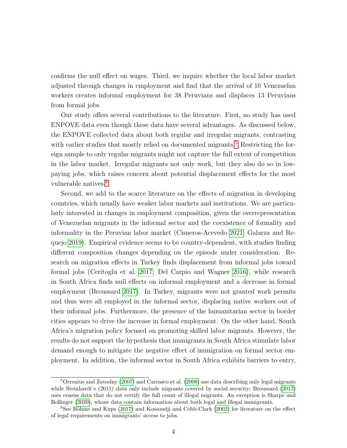confirms the null effect on wages. Third, we inquire whether the local labor market adjusted through changes in employment and find that the arrival of 10 Venezuelan workers creates informal employment for 38 Peruvians and displaces 13 Peruvians from formal jobs.

Our study offers several contributions to the literature. First, no study has used ENPOVE data even though these data have several advantages. As discussed below, the ENPOVE collected data about both regular and irregular migrants, contrasting with earlier studies that mostly relied on documented migrants.<sup>[5](#page-1-0)</sup> Restricting the foreign sample to only regular migrants might not capture the full extent of competition in the labor market. Irregular migrants not only work, but they also do so in lowpaying jobs, which raises concern about potential displacement effects for the most vulnerable natives.<sup>[6](#page-1-0)</sup>

Second, we add to the scarce literature on the effects of migration in developing countries, which usually have weaker labor markets and institutions. We are particularly interested in changes in employment composition, given the overrepresentation of Venezuelan migrants in the informal sector and the coexistence of formality and informality in the Peruvian labor market (Cisneros-Acevedo [2021;](#page-33-2) Galarza and Requejo [2019\)](#page-34-4). Empirical evidence seems to be country-dependent, with studies finding different composition changes depending on the episode under consideration. Research on migration effects in Turkey finds displacement from informal jobs toward formal jobs (Ceritoglu et al. [2017;](#page-33-3) Del Carpio and Wagner [2016\)](#page-34-5), while research in South Africa finds null effects on informal employment and a decrease in formal employment (Broussard [2017\)](#page-32-5). In Turkey, migrants were not granted work permits and thus were all employed in the informal sector, displacing native workers out of their informal jobs. Furthermore, the presence of the humanitarian sector in border cities appears to drive the increase in formal employment. On the other hand, South Africa's migration policy focused on promoting skilled labor migrants. However, the results do not support the hypothesis that immigrants in South Africa stimulate labor demand enough to mitigate the negative effect of immigration on formal sector employment. In addition, the informal sector in South Africa exhibits barriers to entry,

<sup>5</sup>Orrenius and Zavodny [\(2007\)](#page-36-4) and Carrasco et al. [\(2008\)](#page-33-4) use data describing only legal migrants while Steinhardt's (2011) data only include migrants covered by social security; Broussard [\(2017\)](#page-32-5) uses census data that do not certify the full count of illegal migrants. An exception is Sharpe and Bollinger [\(2020\)](#page-36-5), whose data contain information about both legal and illegal immigrants.

 $6$ See Böhme and Kups [\(2017\)](#page-32-6) and Kossoudji and Cobb-Clark [\(2002\)](#page-35-3) for literature on the effect of legal requirements on immigrants' access to jobs.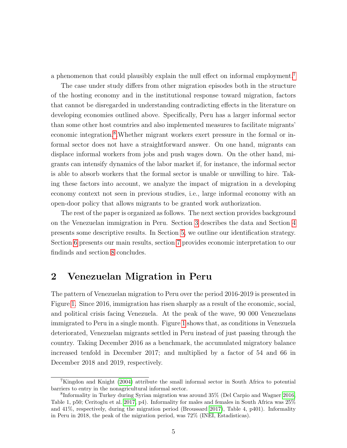a phenomenon that could plausibly explain the null effect on informal employment.[7](#page-1-0)

The case under study differs from other migration episodes both in the structure of the hosting economy and in the institutional response toward migration, factors that cannot be disregarded in understanding contradicting effects in the literature on developing economies outlined above. Specifically, Peru has a larger informal sector than some other host countries and also implemented measures to facilitate migrants' economic integration.<sup>[8](#page-1-0)</sup>. Whether migrant workers exert pressure in the formal or informal sector does not have a straightforward answer. On one hand, migrants can displace informal workers from jobs and push wages down. On the other hand, migrants can intensify dynamics of the labor market if, for instance, the informal sector is able to absorb workers that the formal sector is unable or unwilling to hire. Taking these factors into account, we analyze the impact of migration in a developing economy context not seen in previous studies, i.e., large informal economy with an open-door policy that allows migrants to be granted work authorization.

The rest of the paper is organized as follows. The next section provides background on the Venezuelan immigration in Peru. Section [3](#page-8-0) describes the data and Section [4](#page-11-0) presents some descriptive results. In Section [5,](#page-19-0) we outline our identification strategy. Section [6](#page-22-0) presents our main results, section [7](#page-27-0) provides economic interpretation to our findinds and section [8](#page-29-0) concludes.

### 2 Venezuelan Migration in Peru

The pattern of Venezuelan migration to Peru over the period 2016-2019 is presented in Figure [1.](#page-6-0) Since 2016, immigration has risen sharply as a result of the economic, social, and political crisis facing Venezuela. At the peak of the wave, 90 000 Venezuelans immigrated to Peru in a single month. Figure [1](#page-6-0) shows that, as conditions in Venezuela deteriorated, Venezuelan migrants settled in Peru instead of just passing through the country. Taking December 2016 as a benchmark, the accumulated migratory balance increased tenfold in December 2017; and multiplied by a factor of 54 and 66 in December 2018 and 2019, respectively.

<sup>7</sup>Kingdon and Knight [\(2004\)](#page-35-4) attribute the small informal sector in South Africa to potential barriers to entry in the nonagricultural informal sector.

<sup>8</sup> Informality in Turkey during Syrian migration was around 35% (Del Carpio and Wagner [2016,](#page-34-5) Table 1, p50; Ceritoglu et al. [2017,](#page-33-3) p4). Informality for males and females in South Africa was 25% and 41%, respectively, during the migration period (Broussard [2017\)](#page-32-5), Table 4, p401). Informality in Peru in 2018, the peak of the migration period, was 72% (INEI, Estadisticas).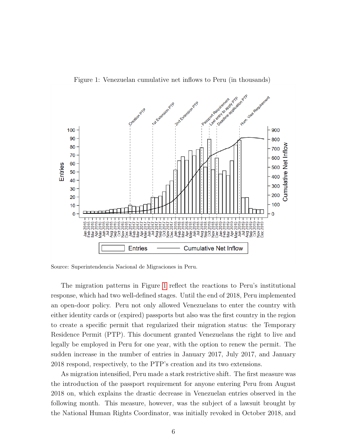<span id="page-6-0"></span>

Figure 1: Venezuelan cumulative net inflows to Peru (in thousands)

Source: Superintendencia Nacional de Migraciones in Peru.

The migration patterns in Figure [1](#page-6-0) reflect the reactions to Peru's institutional response, which had two well-defined stages. Until the end of 2018, Peru implemented an open-door policy. Peru not only allowed Venezuelans to enter the country with either identity cards or (expired) passports but also was the first country in the region to create a specific permit that regularized their migration status: the Temporary Residence Permit (PTP). This document granted Venezuelans the right to live and legally be employed in Peru for one year, with the option to renew the permit. The sudden increase in the number of entries in January 2017, July 2017, and January 2018 respond, respectively, to the PTP's creation and its two extensions.

As migration intensified, Peru made a stark restrictive shift. The first measure was the introduction of the passport requirement for anyone entering Peru from August 2018 on, which explains the drastic decrease in Venezuelan entries observed in the following month. This measure, however, was the subject of a lawsuit brought by the National Human Rights Coordinator, was initially revoked in October 2018, and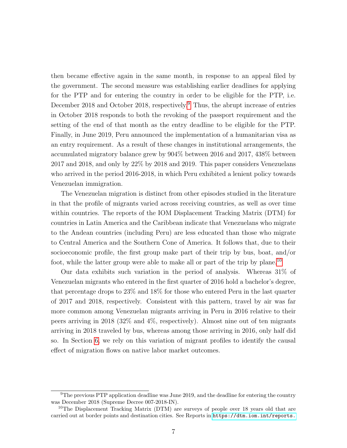then became effective again in the same month, in response to an appeal filed by the government. The second measure was establishing earlier deadlines for applying for the PTP and for entering the country in order to be eligible for the PTP, i.e. December 2018 and October 2018, respectively.<sup>[9](#page-1-0)</sup> Thus, the abrupt increase of entries in October 2018 responds to both the revoking of the passport requirement and the setting of the end of that month as the entry deadline to be eligible for the PTP. Finally, in June 2019, Peru announced the implementation of a humanitarian visa as an entry requirement. As a result of these changes in institutional arrangements, the accumulated migratory balance grew by 904% between 2016 and 2017, 438% between 2017 and 2018, and only by 22% by 2018 and 2019. This paper considers Venezuelans who arrived in the period 2016-2018, in which Peru exhibited a lenient policy towards Venezuelan immigration.

The Venezuelan migration is distinct from other episodes studied in the literature in that the profile of migrants varied across receiving countries, as well as over time within countries. The reports of the IOM Displacement Tracking Matrix (DTM) for countries in Latin America and the Caribbean indicate that Venezuelans who migrate to the Andean countries (including Peru) are less educated than those who migrate to Central America and the Southern Cone of America. It follows that, due to their socioeconomic profile, the first group make part of their trip by bus, boat, and/or foot, while the latter group were able to make all or part of the trip by plane.[10](#page-1-0)

Our data exhibits such variation in the period of analysis. Whereas 31% of Venezuelan migrants who entered in the first quarter of 2016 hold a bachelor's degree, that percentage drops to 23% and 18% for those who entered Peru in the last quarter of 2017 and 2018, respectively. Consistent with this pattern, travel by air was far more common among Venezuelan migrants arriving in Peru in 2016 relative to their peers arriving in 2018 (32% and 4%, respectively). Almost nine out of ten migrants arriving in 2018 traveled by bus, whereas among those arriving in 2016, only half did so. In Section [6,](#page-22-0) we rely on this variation of migrant profiles to identify the causal effect of migration flows on native labor market outcomes.

 $9$ The previous PTP application deadline was June 2019, and the deadline for entering the country was December 2018 (Supreme Decree 007-2018-IN).

<sup>&</sup>lt;sup>10</sup>The Displacement Tracking Matrix  $(DTM)$  are surveys of people over 18 years old that are carried out at border points and destination cities. See Reports in <https://dtm.iom.int/reports.>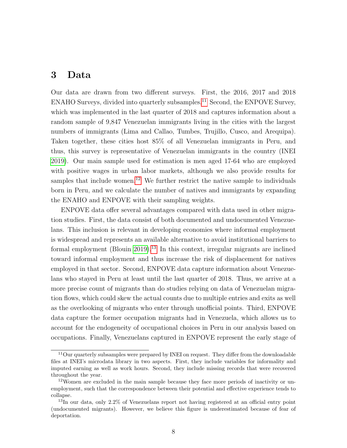#### <span id="page-8-0"></span>3 Data

Our data are drawn from two different surveys. First, the 2016, 2017 and 2018 ENAHO Surveys, divided into quarterly subsamples.<sup>[11](#page-1-0)</sup> Second, the ENPOVE Survey, which was implemented in the last quarter of 2018 and captures information about a random sample of 9,847 Venezuelan immigrants living in the cities with the largest numbers of immigrants (Lima and Callao, Tumbes, Trujillo, Cusco, and Arequipa). Taken together, these cities host 85% of all Venezuelan immigrants in Peru, and thus, this survey is representative of Venezuelan immigrants in the country (INEI [2019\)](#page-35-5). Our main sample used for estimation is men aged 17-64 who are employed with positive wages in urban labor markets, although we also provide results for samples that include women.<sup>[12](#page-1-0)</sup> We further restrict the native sample to individuals born in Peru, and we calculate the number of natives and immigrants by expanding the ENAHO and ENPOVE with their sampling weights.

ENPOVE data offer several advantages compared with data used in other migration studies. First, the data consist of both documented and undocumented Venezuelans. This inclusion is relevant in developing economies where informal employment is widespread and represents an available alternative to avoid institutional barriers to formal employment (Blouin [2019\)](#page-31-1).<sup>[13](#page-1-0)</sup> In this context, irregular migrants are inclined toward informal employment and thus increase the risk of displacement for natives employed in that sector. Second, ENPOVE data capture information about Venezuelans who stayed in Peru at least until the last quarter of 2018. Thus, we arrive at a more precise count of migrants than do studies relying on data of Venezuelan migration flows, which could skew the actual counts due to multiple entries and exits as well as the overlooking of migrants who enter through unofficial points. Third, ENPOVE data capture the former occupation migrants had in Venezuela, which allows us to account for the endogeneity of occupational choices in Peru in our analysis based on occupations. Finally, Venezuelans captured in ENPOVE represent the early stage of

<sup>&</sup>lt;sup>11</sup>Our quarterly subsamples were prepared by INEI on request. They differ from the downloadable files at INEI's microdata library in two aspects. First, they include variables for informality and imputed earning as well as work hours. Second, they include missing records that were recovered throughout the year.

<sup>12</sup>Women are excluded in the main sample because they face more periods of inactivity or unemployment, such that the correspondence between their potential and effective experience tends to collapse.

<sup>&</sup>lt;sup>13</sup>In our data, only 2.2% of Venezuelans report not having registered at an official entry point (undocumented migrants). However, we believe this figure is underestimated because of fear of deportation.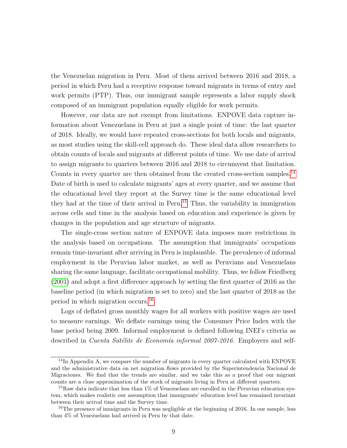the Venezuelan migration in Peru. Most of them arrived between 2016 and 2018, a period in which Peru had a receptive response toward migrants in terms of entry and work permits (PTP). Thus, our immigrant sample represents a labor supply shock composed of an immigrant population equally eligible for work permits.

However, our data are not exempt from limitations. ENPOVE data capture information about Venezuelans in Peru at just a single point of time: the last quarter of 2018. Ideally, we would have repeated cross-sections for both locals and migrants, as most studies using the skill-cell approach do. These ideal data allow researchers to obtain counts of locals and migrants at different points of time. We use date of arrival to assign migrants to quarters between 2016 and 2018 to circumvent that limitation. Counts in every quarter are then obtained from the created cross-section samples.<sup>[14](#page-1-0)</sup> Date of birth is used to calculate migrants' ages at every quarter, and we assume that the educational level they report at the Survey time is the same educational level they had at the time of their arrival in Peru.[15](#page-1-0) Thus, the variability in immigration across cells and time in the analysis based on education and experience is given by changes in the population and age structure of migrants.

The single-cross section nature of ENPOVE data imposes more restrictions in the analysis based on occupations. The assumption that immigrants' occupations remain time-invariant after arriving in Peru is implausible. The prevalence of informal employment in the Peruvian labor market, as well as Peruvians and Venezuelans sharing the same language, facilitate occupational mobility. Thus, we follow Friedberg [\(2001\)](#page-34-3) and adopt a first difference approach by setting the first quarter of 2016 as the baseline period (in which migration is set to zero) and the last quarter of 2018 as the period in which migration occurs.[16](#page-1-0)

Logs of deflated gross monthly wages for all workers with positive wages are used to measure earnings. We deflate earnings using the Consumer Price Index with the base period being 2009. Informal employment is defined following INEI's criteria as described in Cuenta Satélite de Economía informal 2007-2016. Employers and self-

<sup>&</sup>lt;sup>14</sup>In Appendix A, we compare the number of migrants in every quarter calculated with ENPOVE and the administrative data on net migration flows provided by the Superintendencia Nacional de Migraciones. We find that the trends are similar, and we take this as a proof that our migrant counts are a close approximation of the stock of migrants living in Peru at different quarters.

 $15$ Raw data indicate that less than 1% of Venezuelans are enrolled in the Peruvian education system, which makes realistic our assumption that immigrants' education level has remained invariant between their arrival time and the Survey time.

<sup>&</sup>lt;sup>16</sup>The presence of immigrants in Peru was negligible at the beginning of 2016. In our sample, less than 4% of Venezuelans had arrived in Peru by that date.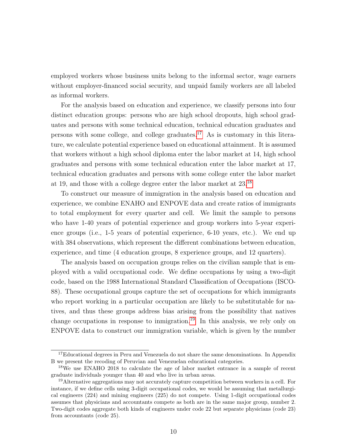employed workers whose business units belong to the informal sector, wage earners without employer-financed social security, and unpaid family workers are all labeled as informal workers.

For the analysis based on education and experience, we classify persons into four distinct education groups: persons who are high school dropouts, high school graduates and persons with some technical education, technical education graduates and persons with some college, and college graduates.<sup>[17](#page-1-0)</sup> As is customary in this literature, we calculate potential experience based on educational attainment. It is assumed that workers without a high school diploma enter the labor market at 14, high school graduates and persons with some technical education enter the labor market at 17, technical education graduates and persons with some college enter the labor market at 19, and those with a college degree enter the labor market at 23.[18](#page-1-0)

To construct our measure of immigration in the analysis based on education and experience, we combine ENAHO and ENPOVE data and create ratios of immigrants to total employment for every quarter and cell. We limit the sample to persons who have 1-40 years of potential experience and group workers into 5-year experience groups (i.e., 1-5 years of potential experience, 6-10 years, etc.). We end up with 384 observations, which represent the different combinations between education, experience, and time (4 education groups, 8 experience groups, and 12 quarters).

The analysis based on occupation groups relies on the civilian sample that is employed with a valid occupational code. We define occupations by using a two-digit code, based on the 1988 International Standard Classification of Occupations (ISCO-88). These occupational groups capture the set of occupations for which immigrants who report working in a particular occupation are likely to be substitutable for natives, and thus these groups address bias arising from the possibility that natives change occupations in response to inmigration.<sup>[19](#page-1-0)</sup> In this analysis, we rely only on ENPOVE data to construct our immigration variable, which is given by the number

<sup>&</sup>lt;sup>17</sup>Educational degrees in Peru and Venezuela do not share the same denominations. In Appendix B we present the recoding of Peruvian and Venezuelan educational categories.

<sup>18</sup>We use ENAHO 2018 to calculate the age of labor market entrance in a sample of recent graduate individuals younger than 40 and who live in urban areas.

<sup>19</sup>Alternative aggregations may not accurately capture competition between workers in a cell. For instance, if we define cells using 3-digit occupational codes, we would be assuming that metallurgical engineers (224) and mining engineers (225) do not compete. Using 1-digit occupational codes assumes that physicians and accountants compete as both are in the same major group, number 2. Two-digit codes aggregate both kinds of engineers under code 22 but separate physicians (code 23) from accountants (code 25).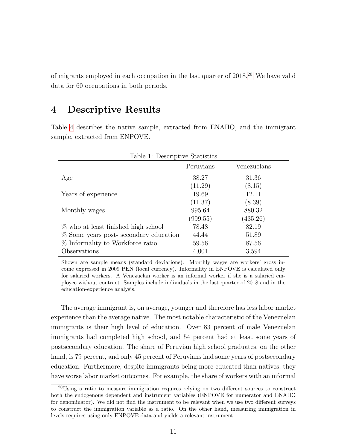of migrants employed in each occupation in the last quarter of  $2018<sup>20</sup>$  $2018<sup>20</sup>$  We have valid data for 60 occupations in both periods.

#### <span id="page-11-0"></span>4 Descriptive Results

Table [4](#page-11-1) describes the native sample, extracted from ENAHO, and the immigrant sample, extracted from ENPOVE.

<span id="page-11-1"></span>

| Table 1: Descriptive Statistics       |           |             |  |
|---------------------------------------|-----------|-------------|--|
|                                       | Peruvians | Venezuelans |  |
| Age                                   | 38.27     | 31.36       |  |
|                                       | (11.29)   | (8.15)      |  |
| Years of experience                   | 19.69     | 12.11       |  |
|                                       | (11.37)   | (8.39)      |  |
| Monthly wages                         | 995.64    | 880.32      |  |
|                                       | (999.55)  | (435.26)    |  |
| % who at least finished high school   | 78.48     | 82.19       |  |
| % Some years post-secondary education | 44.44     | 51.89       |  |
| % Informality to Workforce ratio      | 59.56     | 87.56       |  |
| Observations                          | 4,001     | 3,594       |  |

Shown are sample means (standard deviations). Monthly wages are workers' gross income expressed in 2009 PEN (local currency). Informality in ENPOVE is calculated only for salaried workers. A Venezuelan worker is an informal worker if she is a salaried employee without contract. Samples include individuals in the last quarter of 2018 and in the education-experience analysis.

The average immigrant is, on average, younger and therefore has less labor market experience than the average native. The most notable characteristic of the Venezuelan immigrants is their high level of education. Over 83 percent of male Venezuelan immigrants had completed high school, and 54 percent had at least some years of postsecondary education. The share of Peruvian high school graduates, on the other hand, is 79 percent, and only 45 percent of Peruvians had some years of postsecondary education. Furthermore, despite immigrants being more educated than natives, they have worse labor market outcomes. For example, the share of workers with an informal

<sup>20</sup>Using a ratio to measure immigration requires relying on two different sources to construct both the endogenous dependent and instrument variables (ENPOVE for numerator and ENAHO for denominator). We did not find the instrument to be relevant when we use two different surveys to construct the immigration variable as a ratio. On the other hand, measuring immigration in levels requires using only ENPOVE data and yields a relevant instrument.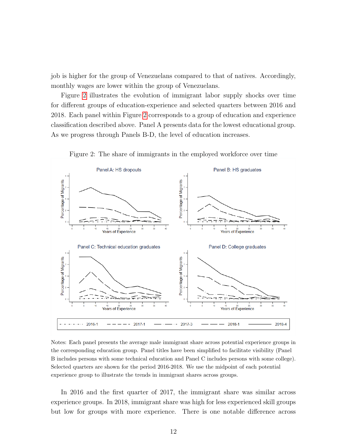job is higher for the group of Venezuelans compared to that of natives. Accordingly, monthly wages are lower within the group of Venezuelans.

Figure [2](#page-12-0) illustrates the evolution of immigrant labor supply shocks over time for different groups of education-experience and selected quarters between 2016 and 2018. Each panel within Figure [2](#page-12-0) corresponds to a group of education and experience classification described above. Panel A presents data for the lowest educational group. As we progress through Panels B-D, the level of education increases.

<span id="page-12-0"></span>

Figure 2: The share of immigrants in the employed workforce over time

Notes: Each panel presents the average male immigrant share across potential experience groups in the corresponding education group. Panel titles have been simplified to facilitate visibility (Panel B includes persons with some technical education and Panel C includes persons with some college). Selected quarters are shown for the period 2016-2018. We use the midpoint of each potential experience group to illustrate the trends in immigrant shares across groups.

In 2016 and the first quarter of 2017, the immigrant share was similar across experience groups. In 2018, immigrant share was high for less experienced skill groups but low for groups with more experience. There is one notable difference across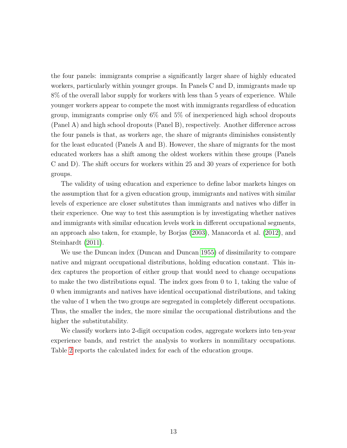the four panels: immigrants comprise a significantly larger share of highly educated workers, particularly within younger groups. In Panels C and D, immigrants made up 8% of the overall labor supply for workers with less than 5 years of experience. While younger workers appear to compete the most with immigrants regardless of education group, immigrants comprise only 6% and 5% of inexperienced high school dropouts (Panel A) and high school dropouts (Panel B), respectively. Another difference across the four panels is that, as workers age, the share of migrants diminishes consistently for the least educated (Panels A and B). However, the share of migrants for the most educated workers has a shift among the oldest workers within these groups (Panels C and D). The shift occurs for workers within 25 and 30 years of experience for both groups.

The validity of using education and experience to define labor markets hinges on the assumption that for a given education group, immigrants and natives with similar levels of experience are closer substitutes than immigrants and natives who differ in their experience. One way to test this assumption is by investigating whether natives and immigrants with similar education levels work in different occupational segments, an approach also taken, for example, by Borjas [\(2003\)](#page-32-4), Manacorda et al. [\(2012\)](#page-36-2), and Steinhardt [\(2011\)](#page-37-0).

We use the Duncan index (Duncan and Duncan [1955\)](#page-34-6) of dissimilarity to compare native and migrant occupational distributions, holding education constant. This index captures the proportion of either group that would need to change occupations to make the two distributions equal. The index goes from 0 to 1, taking the value of 0 when immigrants and natives have identical occupational distributions, and taking the value of 1 when the two groups are segregated in completely different occupations. Thus, the smaller the index, the more similar the occupational distributions and the higher the substitutability.

We classify workers into 2-digit occupation codes, aggregate workers into ten-year experience bands, and restrict the analysis to workers in nonmilitary occupations. Table [2](#page-14-0) reports the calculated index for each of the education groups.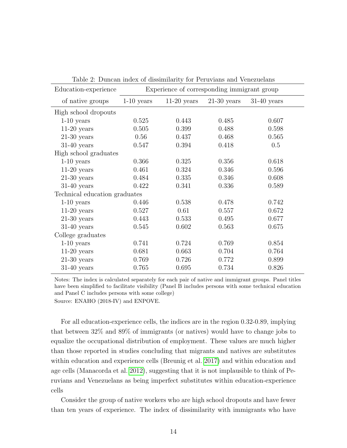<span id="page-14-0"></span>

| Education-experience          | Experience of corresponding immigrant group |               |               |               |  |
|-------------------------------|---------------------------------------------|---------------|---------------|---------------|--|
| of native groups              | $1-10$ years                                | $11-20$ years | $21-30$ years | $31-40$ years |  |
| High school dropouts          |                                             |               |               |               |  |
| $1-10$ years                  | 0.525                                       | 0.443         | 0.485         | 0.607         |  |
| $11-20$ years                 | 0.505                                       | 0.399         | 0.488         | 0.598         |  |
| $21-30$ years                 | 0.56                                        | 0.437         | 0.468         | 0.565         |  |
| $31-40$ years                 | 0.547                                       | 0.394         | 0.418         | 0.5           |  |
| High school graduates         |                                             |               |               |               |  |
| $1-10$ years                  | 0.366                                       | 0.325         | 0.356         | 0.618         |  |
| $11-20$ years                 | 0.461                                       | 0.324         | 0.346         | 0.596         |  |
| $21-30$ years                 | 0.484                                       | 0.335         | 0.346         | 0.608         |  |
| $31-40$ years                 | 0.422                                       | 0.341         | 0.336         | 0.589         |  |
| Technical education graduates |                                             |               |               |               |  |
| $1-10$ years                  | 0.446                                       | 0.538         | 0.478         | 0.742         |  |
| $11-20$ years                 | 0.527                                       | 0.61          | 0.557         | 0.672         |  |
| $21-30$ years                 | 0.443                                       | 0.533         | 0.495         | 0.677         |  |
| $31-40$ years                 | 0.545                                       | 0.602         | 0.563         | 0.675         |  |
| College graduates             |                                             |               |               |               |  |
| $1-10$ years                  | 0.741                                       | 0.724         | 0.769         | 0.854         |  |
| $11-20$ years                 | 0.681                                       | 0.663         | 0.704         | 0.764         |  |
| $21-30$ years                 | 0.769                                       | 0.726         | 0.772         | 0.899         |  |
| $31-40$ years                 | 0.765                                       | 0.695         | 0.734         | 0.826         |  |

Table 2: Duncan index of dissimilarity for Peruvians and Venezuelans

Notes: The index is calculated separately for each pair of native and immigrant groups. Panel titles have been simplified to facilitate visibility (Panel B includes persons with some technical education and Panel C includes persons with some college)

Source: ENAHO (2018-IV) and ENPOVE.

For all education-experience cells, the indices are in the region 0.32-0.89, implying that between 32% and 89% of immigrants (or natives) would have to change jobs to equalize the occupational distribution of employment. These values are much higher than those reported in studies concluding that migrants and natives are substitutes within education and experience cells (Breunig et al. [2017\)](#page-32-7) and within education and age cells (Manacorda et al. [2012\)](#page-36-2), suggesting that it is not implausible to think of Peruvians and Venezuelans as being imperfect substitutes within education-experience cells

Consider the group of native workers who are high school dropouts and have fewer than ten years of experience. The index of dissimilarity with immigrants who have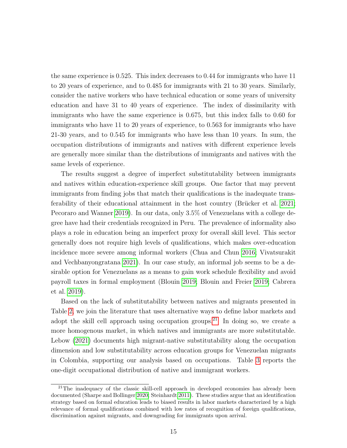the same experience is 0.525. This index decreases to 0.44 for immigrants who have 11 to 20 years of experience, and to 0.485 for immigrants with 21 to 30 years. Similarly, consider the native workers who have technical education or some years of university education and have 31 to 40 years of experience. The index of dissimilarity with immigrants who have the same experience is 0.675, but this index falls to 0.60 for immigrants who have 11 to 20 years of experience, to 0.563 for immigrants who have 21-30 years, and to 0.545 for immigrants who have less than 10 years. In sum, the occupation distributions of immigrants and natives with different experience levels are generally more similar than the distributions of immigrants and natives with the same levels of experience.

The results suggest a degree of imperfect substitutability between immigrants and natives within education-experience skill groups. One factor that may prevent immigrants from finding jobs that match their qualifications is the inadequate transferability of their educational attainment in the host country (Brücker et al.  $2021$ ; Pecoraro and Wanner [2019\)](#page-36-6). In our data, only 3.5% of Venezuelans with a college degree have had their credentials recognized in Peru. The prevalence of informality also plays a role in education being an imperfect proxy for overall skill level. This sector generally does not require high levels of qualifications, which makes over-education incidence more severe among informal workers (Chua and Chun [2016;](#page-33-5) Vivatsurakit and Vechbanyongratana [2021\)](#page-37-1). In our case study, an informal job seems to be a desirable option for Venezuelans as a means to gain work schedule flexibility and avoid payroll taxes in formal employment (Blouin [2019;](#page-31-1) Blouin and Freier [2019;](#page-32-9) Cabrera et al. [2019\)](#page-33-6).

Based on the lack of substitutability between natives and migrants presented in Table [2,](#page-14-0) we join the literature that uses alternative ways to define labor markets and adopt the skill cell approach using occupation groups.<sup>[21](#page-1-0)</sup> In doing so, we create a more homogenous market, in which natives and immigrants are more substitutable. Lebow [\(2021\)](#page-36-7) documents high migrant-native substitutability along the occupation dimension and low substitutability across education groups for Venezuelan migrants in Colombia, supporting our analysis based on occupations. Table [3](#page-16-0) reports the one-digit occupational distribution of native and immigrant workers.

<sup>21</sup>The inadequacy of the classic skill-cell approach in developed economies has already been documented (Sharpe and Bollinger [2020;](#page-36-5) Steinhardt [2011\)](#page-37-0). These studies argue that an identification strategy based on formal education leads to biased results in labor markets characterized by a high relevance of formal qualifications combined with low rates of recognition of foreign qualifications, discrimination against migrants, and downgrading for immigrants upon arrival.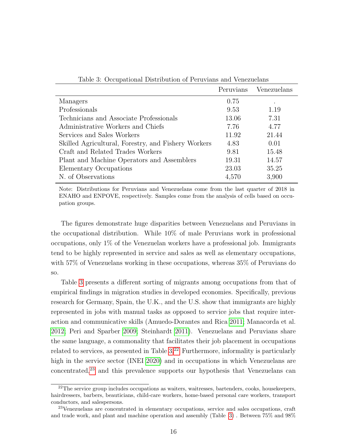<span id="page-16-0"></span>

| Table 3: Occupational Distribution of Peruvians and Venezuelans |           |             |  |
|-----------------------------------------------------------------|-----------|-------------|--|
|                                                                 | Peruvians | Venezuelans |  |
| Managers                                                        | 0.75      |             |  |
| Professionals                                                   | 9.53      | 1.19        |  |
| Technicians and Associate Professionals                         | 13.06     | 7.31        |  |
| Administrative Workers and Chiefs                               | 7.76      | 4.77        |  |
| Services and Sales Workers                                      | 11.92     | 21.44       |  |
| Skilled Agricultural, Forestry, and Fishery Workers             | 4.83      | 0.01        |  |
| Craft and Related Trades Workers                                | 9.81      | 15.48       |  |
| Plant and Machine Operators and Assemblers                      | 19.31     | 14.57       |  |
| Elementary Occupations                                          | 23.03     | 35.25       |  |
| N. of Observations                                              | 4,570     | 3,900       |  |

Note: Distributions for Peruvians and Venezuelans come from the last quarter of 2018 in ENAHO and ENPOVE, respectively. Samples come from the analysis of cells based on occupation groups.

The figures demonstrate huge disparities between Venezuelans and Peruvians in the occupational distribution. While 10% of male Peruvians work in professional occupations, only 1% of the Venezuelan workers have a professional job. Immigrants tend to be highly represented in service and sales as well as elementary occupations, with 57% of Venezuelans working in these occupations, whereas 35% of Peruvians do so.

Table [3](#page-16-0) presents a different sorting of migrants among occupations from that of empirical findings in migration studies in developed economies. Specifically, previous research for Germany, Spain, the U.K., and the U.S. show that immigrants are highly represented in jobs with manual tasks as opposed to service jobs that require interaction and communicative skills (Amuedo-Dorantes and Rica [2011;](#page-31-2) Manacorda et al. [2012;](#page-36-2) Peri and Sparber [2009;](#page-36-8) Steinhardt [2011\)](#page-37-0). Venezuelans and Peruvians share the same language, a commonality that facilitates their job placement in occupations related to services, as presented in Table  $3<sup>22</sup>$  $3<sup>22</sup>$  $3<sup>22</sup>$  Furthermore, informality is particularly high in the service sector (INEI [2020\)](#page-35-6) and in occupations in which Venezuelans are  $concentrated<sup>23</sup>$  $concentrated<sup>23</sup>$  $concentrated<sup>23</sup>$  and this prevalence supports our hypothesis that Venezuelans can

<sup>&</sup>lt;sup>22</sup>The service group includes occupations as waiters, waitresses, bartenders, cooks, housekeepers, hairdressers, barbers, beauticians, child-care workers, home-based personal care workers, transport conductors, and salespersons.

<sup>23</sup>Venezuelans are concentrated in elementary occupations, service and sales occupations, craft and trade work, and plant and machine operation and assembly (Table [3\)](#page-16-0) . Between 75% and 98%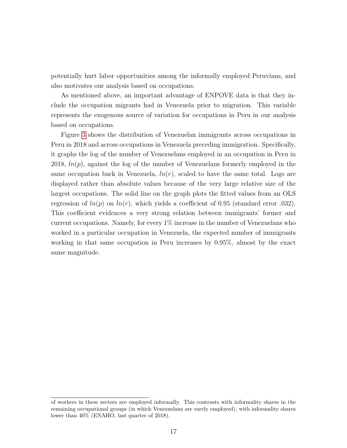potentially hurt labor opportunities among the informally employed Peruvians, and also motivates our analysis based on occupations.

As mentioned above, an important advantage of ENPOVE data is that they include the occupation migrants had in Venezuela prior to migration. This variable represents the exogenous source of variation for occupations in Peru in our analysis based on occupations.

Figure [3](#page-18-0) shows the distribution of Venezuelan immigrants across occupations in Peru in 2018 and across occupations in Venezuela preceding immigration. Specifically, it graphs the log of the number of Venezuelans employed in an occupation in Peru in 2018,  $ln(p)$ , against the log of the number of Venezuelans formerly employed in the same occupation back in Venezuela,  $ln(r)$ , scaled to have the same total. Logs are displayed rather than absolute values because of the very large relative size of the largest occupations. The solid line on the graph plots the fitted values from an OLS regression of  $ln(p)$  on  $ln(r)$ , which yields a coefficient of 0.95 (standard error .032). This coefficient evidences a very strong relation between immigrants' former and current occupations. Namely, for every 1% increase in the number of Venezuelans who worked in a particular occupation in Venezuela, the expected number of immigrants working in that same occupation in Peru increases by 0.95%, almost by the exact same magnitude.

of workers in these sectors are employed informally. This contrasts with informality shares in the remaining occupational groups (in which Venezuelans are rarely employed), with informality shares lower than 40% (ENAHO, last quarter of 2018).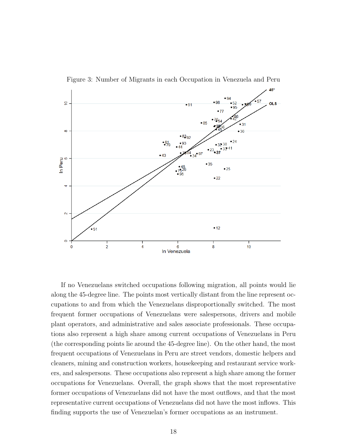<span id="page-18-0"></span>

Figure 3: Number of Migrants in each Occupation in Venezuela and Peru

If no Venezuelans switched occupations following migration, all points would lie along the 45-degree line. The points most vertically distant from the line represent occupations to and from which the Venezuelans disproportionally switched. The most frequent former occupations of Venezuelans were salespersons, drivers and mobile plant operators, and administrative and sales associate professionals. These occupations also represent a high share among current occupations of Venezuelans in Peru (the corresponding points lie around the 45-degree line). On the other hand, the most frequent occupations of Venezuelans in Peru are street vendors, domestic helpers and cleaners, mining and construction workers, housekeeping and restaurant service workers, and salespersons. These occupations also represent a high share among the former occupations for Venezuelans. Overall, the graph shows that the most representative former occupations of Venezuelans did not have the most outflows, and that the most representative current occupations of Venezuelans did not have the most inflows. This finding supports the use of Venezuelan's former occupations as an instrument.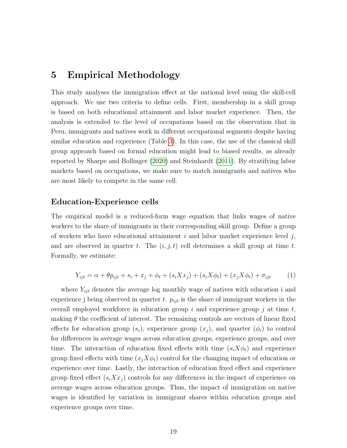#### <span id="page-19-0"></span>5 Empirical Methodology

This study analyses the immigration effect at the national level using the skill-cell approach. We use two criteria to define cells. First, membership in a skill group is based on both educational attainment and labor market experience. Then, the analysis is extended to the level of occupations based on the observation that in Peru, immigrants and natives work in different occupational segments despite having similar education and experience (Table [3\)](#page-16-0). In this case, the use of the classical skill group approach based on formal education might lead to biased results, as already reported by Sharpe and Bollinger [\(2020\)](#page-36-5) and Steinhardt [\(2011\)](#page-37-0). By stratifying labor markets based on occupations, we make sure to match immigrants and natives who are most likely to compete in the same cell.

#### Education-Experience cells

The empirical model is a reduced-form wage equation that links wages of native workers to the share of immigrants in their corresponding skill group. Define a group of workers who have educational attainment  $i$  and labor market experience level  $j$ , and are observed in quarter t. The  $(i, j, t)$  cell determines a skill group at time t. Formally, we estimate:

<span id="page-19-1"></span>
$$
Y_{ijt} = \alpha + \theta p_{ijt} + s_i + x_j + \phi_t + (s_i X x_j) + (s_i X \phi_t) + (x_j X \phi_t) + \sigma_{ijt}
$$
 (1)

where  $Y_{ijt}$  denotes the average log monthly wage of natives with education i and experience j being observed in quarter t.  $p_{ijt}$  is the share of immigrant workers in the overall employed workforce in education group i and experience group j at time  $t$ , making  $\theta$  the coefficient of interest. The remaining controls are vectors of linear fixed effects for education group  $(s_i)$ , experience group  $(x_i)$ , and quarter  $(\phi_t)$  to control for differences in average wages across education groups, experience groups, and over time. The interaction of education fixed effects with time  $(s_i X \phi_t)$  and experience group fixed effects with time  $(x_i X \phi_t)$  control for the changing impact of education or experience over time. Lastly, the interaction of education fixed effect and experience group fixed effect  $(s_i X x_j)$  controls for any differences in the impact of experience on average wages across education groups. Thus, the impact of immigration on native wages is identified by variation in immigrant shares within education groups and experience groups over time.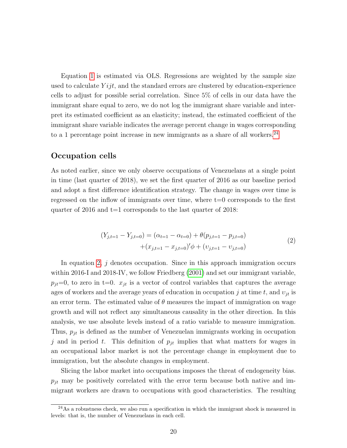Equation [1](#page-19-1) is estimated via OLS. Regressions are weighted by the sample size used to calculate  $Y_{ij}$ , and the standard errors are clustered by education-experience cells to adjust for possible serial correlation. Since 5% of cells in our data have the immigrant share equal to zero, we do not log the immigrant share variable and interpret its estimated coefficient as an elasticity; instead, the estimated coefficient of the immigrant share variable indicates the average percent change in wages corresponding to a 1 percentage point increase in new immigrants as a share of all workers. $^{24}$  $^{24}$  $^{24}$ 

#### Occupation cells

As noted earlier, since we only observe occupations of Venezuelans at a single point in time (last quarter of 2018), we set the first quarter of 2016 as our baseline period and adopt a first difference identification strategy. The change in wages over time is regressed on the inflow of immigrants over time, where  $t=0$  corresponds to the first quarter of 2016 and  $t=1$  corresponds to the last quarter of 2018:

$$
(Y_{j,t=1} - Y_{j,t=0}) = (\alpha_{t=1} - \alpha_{t=0}) + \theta(p_{j,t=1} - p_{j,t=0})
$$
  
 
$$
+ (x_{j,t=1} - x_{j,t=0})'\phi + (v_{j,t=1} - v_{j,t=0})
$$
 (2)

<span id="page-20-0"></span>In equation [2,](#page-20-0)  $j$  denotes occupation. Since in this approach immigration occurs within 2016-I and 2018-IV, we follow Friedberg [\(2001\)](#page-34-3) and set our immigrant variable,  $p_{it}=0$ , to zero in t=0.  $x_{it}$  is a vector of control variables that captures the average ages of workers and the average years of education in occupation j at time t, and  $v_{it}$  is an error term. The estimated value of  $\theta$  measures the impact of immigration on wage growth and will not reflect any simultaneous causality in the other direction. In this analysis, we use absolute levels instead of a ratio variable to measure immigration. Thus,  $p_{jt}$  is defined as the number of Venezuelan immigrants working in occupation j and in period t. This definition of  $p_{jt}$  implies that what matters for wages in an occupational labor market is not the percentage change in employment due to immigration, but the absolute changes in employment.

Slicing the labor market into occupations imposes the threat of endogeneity bias.  $p_{jt}$  may be positively correlated with the error term because both native and immigrant workers are drawn to occupations with good characteristics. The resulting

 $^{24}$ As a robustness check, we also run a specification in which the immigrant shock is measured in levels: that is, the number of Venezuelans in each cell.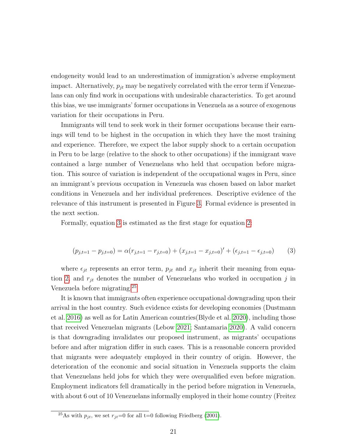endogeneity would lead to an underestimation of immigration's adverse employment impact. Alternatively,  $p_{jt}$  may be negatively correlated with the error term if Venezuelans can only find work in occupations with undesirable characteristics. To get around this bias, we use immigrants' former occupations in Venezuela as a source of exogenous variation for their occupations in Peru.

Immigrants will tend to seek work in their former occupations because their earnings will tend to be highest in the occupation in which they have the most training and experience. Therefore, we expect the labor supply shock to a certain occupation in Peru to be large (relative to the shock to other occupations) if the immigrant wave contained a large number of Venezuelans who held that occupation before migration. This source of variation is independent of the occupational wages in Peru, since an immigrant's previous occupation in Venezuela was chosen based on labor market conditions in Venezuela and her individual preferences. Descriptive evidence of the relevance of this instrument is presented in Figure [3.](#page-18-0) Formal evidence is presented in the next section.

Formally, equation [3](#page-21-0) is estimated as the first stage for equation [2:](#page-20-0)

<span id="page-21-0"></span>
$$
(p_{j,t=1} - p_{j,t=0}) = \alpha (r_{j,t=1} - r_{j,t=0}) + (x_{j,t=1} - x_{j,t=0})' + (\epsilon_{j,t=1} - \epsilon_{j,t=0})
$$
(3)

where  $\epsilon_{jt}$  represents an error term,  $p_{jt}$  and  $x_{jt}$  inherit their meaning from equa-tion [2,](#page-20-0) and  $r_{jt}$  denotes the number of Venezuelans who worked in occupation j in Venezuela before migrating.[25](#page-1-0)

It is known that immigrants often experience occupational downgrading upon their arrival in the host country. Such evidence exists for developing economies (Dustmann et al. [2016\)](#page-34-7) as well as for Latin American countries(Blyde et al. [2020\)](#page-32-10), including those that received Venezuelan migrants (Lebow [2021;](#page-36-7) Santamaria [2020\)](#page-36-9). A valid concern is that downgrading invalidates our proposed instrument, as migrants' occupations before and after migration differ in such cases. This is a reasonable concern provided that migrants were adequately employed in their country of origin. However, the deterioration of the economic and social situation in Venezuela supports the claim that Venezuelans held jobs for which they were overqualified even before migration. Employment indicators fell dramatically in the period before migration in Venezuela, with about 6 out of 10 Venezuelans informally employed in their home country (Freitez

<sup>&</sup>lt;sup>25</sup>As with  $p_{jt}$ , we set  $r_{jt}=0$  for all t=0 following Friedberg [\(2001\)](#page-34-3).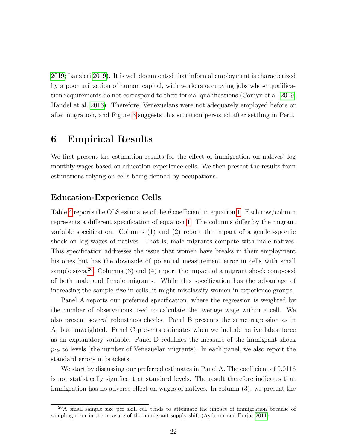[2019;](#page-34-8) Lanzieri [2019\)](#page-35-7). It is well documented that informal employment is characterized by a poor utilization of human capital, with workers occupying jobs whose qualification requirements do not correspond to their formal qualifications (Comyn et al. [2019;](#page-34-9) Handel et al. [2016\)](#page-35-8). Therefore, Venezuelans were not adequately employed before or after migration, and Figure [3](#page-18-0) suggests this situation persisted after settling in Peru.

### <span id="page-22-0"></span>6 Empirical Results

We first present the estimation results for the effect of immigration on natives' log monthly wages based on education-experience cells. We then present the results from estimations relying on cells being defined by occupations.

#### Education-Experience Cells

Table [4](#page-23-0) reports the OLS estimates of the  $\theta$  coefficient in equation [1.](#page-19-1) Each row/column represents a different specification of equation [1.](#page-19-1) The columns differ by the migrant variable specification. Columns (1) and (2) report the impact of a gender-specific shock on log wages of natives. That is, male migrants compete with male natives. This specification addresses the issue that women have breaks in their employment histories but has the downside of potential measurement error in cells with small sample sizes.<sup>[26](#page-1-0)</sup>. Columns  $(3)$  and  $(4)$  report the impact of a migrant shock composed of both male and female migrants. While this specification has the advantage of increasing the sample size in cells, it might misclassify women in experience groups.

Panel A reports our preferred specification, where the regression is weighted by the number of observations used to calculate the average wage within a cell. We also present several robustness checks. Panel B presents the same regression as in A, but unweighted. Panel C presents estimates when we include native labor force as an explanatory variable. Panel D redefines the measure of the immigrant shock  $p_{ijt}$  to levels (the number of Venezuelan migrants). In each panel, we also report the standard errors in brackets.

We start by discussing our preferred estimates in Panel A. The coefficient of 0.0116 is not statistically significant at standard levels. The result therefore indicates that immigration has no adverse effect on wages of natives. In column (3), we present the

 $^{26}$ A small sample size per skill cell tends to attenuate the impact of immigration because of sampling error in the measure of the immigrant supply shift (Aydemir and Borjas [2011\)](#page-31-3).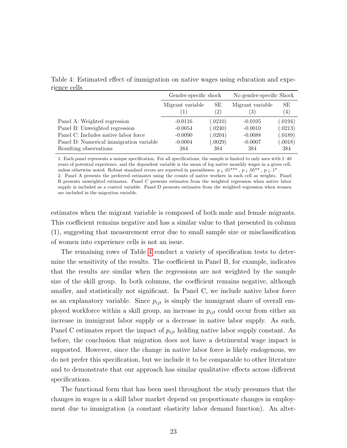<span id="page-23-0"></span>Table 4: Estimated effect of immigration on native wages using education and experience cells

|                                         | Gender-specific shock |                   | No gender-specific Shock |                  |
|-----------------------------------------|-----------------------|-------------------|--------------------------|------------------|
|                                         | Migrant variable      | SЕ                | Migrant variable         | SE               |
|                                         |                       | $\left( 2\right)$ | 3)                       | $\left(4\right)$ |
| Panel A: Weighted regression            | $-0.0116$             | (.0210)           | $-0.0105$                | (.0194)          |
| Panel B: Unweighted regression          | $-0.0054$             | (.0240)           | $-0.0010$                | (.0213)          |
| Panel C: Includes native labor force    | $-0.0090$             | (.0204)           | $-0.0088$                | (.0189)          |
| Panel D: Numerical immigration variable | $-0.0004$             | (.0029)           | $-0.0007$                | (.0018)          |
| Resulting observations                  | 384                   | 384               | 384                      | 384              |

1. Each panel represents a unique specification. For all specifications, the sample is limited to only men with 1–40 years of potential experience, and the dependent variable is the mean of log native monthly wages in a given cell, unless otherwise noted. Robust standard errors are reported in parentheses:  $p_i 0.01^{***}$ ,  $p_i 0.05^{**}$ ,  $p_i 1^*$ .

2. Panel A presents the preferred estimates using the counts of native workers in each cell as weights. Panel B presents unweighted estimates. Panel C presents estimates from the weighted regression when native labor supply is included as a control variable. Panel D presents estimates from the weighted regression when women are included in the migration variable.

estimates when the migrant variable is composed of both male and female migrants. This coefficient remains negative and has a similar value to that presented in column (1), suggesting that measurement error due to small sample size or misclassification of women into experience cells is not an issue.

The remaining rows of Table [4](#page-23-0) conduct a variety of specification tests to determine the sensitivity of the results. The coefficient in Panel B, for example, indicates that the results are similar when the regressions are not weighted by the sample size of the skill group. In both columns, the coefficient remains negative, although smaller, and statistically not significant. In Panel C, we include native labor force as an explanatory variable. Since  $p_{ijt}$  is simply the immigrant share of overall employed workforce within a skill group, an increase in  $p_{ijt}$  could occur from either an increase in immigrant labor supply or a decrease in native labor supply. As such, Panel C estimates report the impact of  $p_{ijt}$  holding native labor supply constant. As before, the conclusion that migration does not have a detrimental wage impact is supported. However, since the change in native labor force is likely endogenous, we do not prefer this specification, but we include it to be comparable to other literature and to demonstrate that our approach has similar qualitative effects across different specifications.

The functional form that has been used throughout the study presumes that the changes in wages in a skill labor market depend on proportionate changes in employment due to immigration (a constant elasticity labor demand function). An alter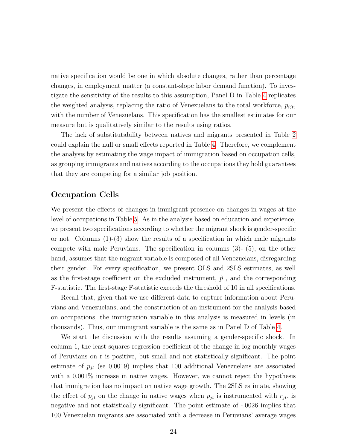native specification would be one in which absolute changes, rather than percentage changes, in employment matter (a constant-slope labor demand function). To investigate the sensitivity of the results to this assumption, Panel D in Table [4](#page-23-0) replicates the weighted analysis, replacing the ratio of Venezuelans to the total workforce,  $p_{iit}$ , with the number of Venezuelans. This specification has the smallest estimates for our measure but is qualitatively similar to the results using ratios.

The lack of substitutability between natives and migrants presented in Table [2](#page-14-0) could explain the null or small effects reported in Table [4.](#page-23-0) Therefore, we complement the analysis by estimating the wage impact of immigration based on occupation cells, as grouping immigrants and natives according to the occupations they hold guarantees that they are competing for a similar job position.

#### Occupation Cells

We present the effects of changes in immigrant presence on changes in wages at the level of occupations in Table [5.](#page-25-0) As in the analysis based on education and experience, we present two specifications according to whether the migrant shock is gender-specific or not. Columns  $(1)-(3)$  show the results of a specification in which male migrants compete with male Peruvians. The specification in columns (3)- (5), on the other hand, assumes that the migrant variable is composed of all Venezuelans, disregarding their gender. For every specification, we present OLS and 2SLS estimates, as well as the first-stage coefficient on the excluded instrument,  $\hat{p}$ , and the corresponding F-statistic. The first-stage F-statistic exceeds the threshold of 10 in all specifications.

Recall that, given that we use different data to capture information about Peruvians and Venezuelans, and the construction of an instrument for the analysis based on occupations, the immigration variable in this analysis is measured in levels (in thousands). Thus, our immigrant variable is the same as in Panel D of Table [4.](#page-23-0)

We start the discussion with the results assuming a gender-specific shock. In column 1, the least-squares regression coefficient of the change in log monthly wages of Peruvians on r is positive, but small and not statistically significant. The point estimate of  $p_{jt}$  (se 0.0019) implies that 100 additional Venezuelans are associated with a  $0.001\%$  increase in native wages. However, we cannot reject the hypothesis that immigration has no impact on native wage growth. The 2SLS estimate, showing the effect of  $p_{jt}$  on the change in native wages when  $p_{jt}$  is instrumented with  $r_{jt}$ , is negative and not statistically significant. The point estimate of -.0026 implies that 100 Venezuelan migrants are associated with a decrease in Peruvians' average wages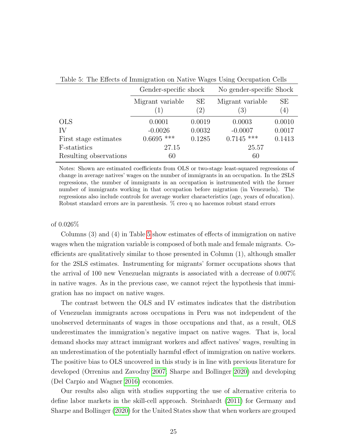| Table 0. The Effects of Infinite attoil on trattre wages Osing Occupation Ochs |                       |           |                                      |                        |  |
|--------------------------------------------------------------------------------|-----------------------|-----------|--------------------------------------|------------------------|--|
|                                                                                | Gender-specific shock |           | No gender-specific Shock             |                        |  |
|                                                                                | Migrant variable      | SE<br>(2) | Migrant variable<br>$\left(3\right)$ | SЕ<br>$\left(4\right)$ |  |
| <b>OLS</b>                                                                     | 0.0001                | 0.0019    | 0.0003                               | 0.0010                 |  |
| IV                                                                             | $-0.0026$             | 0.0032    | $-0.0007$                            | 0.0017                 |  |
| First stage estimates                                                          | $0.6695$ ***          | 0.1285    | $0.7145$ ***                         | 0.1413                 |  |
| F-statistics                                                                   | 27.15                 |           | 25.57                                |                        |  |
| Resulting observations                                                         | 60                    |           | 60                                   |                        |  |

<span id="page-25-0"></span>Table 5: The Effects of Immigration on Native Wages Using Occupation Cells

Notes: Shown are estimated coefficients from OLS or two-stage least-squared regressions of change in average natives' wages on the number of immigrants in an occupation. In the 2SLS regressions, the number of immigrants in an occupation is instrumented with the former number of immigrants working in that occupation before migration (in Venezuela). The regressions also include controls for average worker characteristics (age, years of education). Robust standard errors are in parenthesis. % creo q no hacemos robust stand errors

#### of 0.026%

Columns (3) and (4) in Table [5](#page-25-0) show estimates of effects of immigration on native wages when the migration variable is composed of both male and female migrants. Coefficients are qualitatively similar to those presented in Column (1), although smaller for the 2SLS estimates. Instrumenting for migrants' former occupations shows that the arrival of 100 new Venezuelan migrants is associated with a decrease of 0.007% in native wages. As in the previous case, we cannot reject the hypothesis that immigration has no impact on native wages.

The contrast between the OLS and IV estimates indicates that the distribution of Venezuelan immigrants across occupations in Peru was not independent of the unobserved determinants of wages in those occupations and that, as a result, OLS underestimates the immigration's negative impact on native wages. That is, local demand shocks may attract immigrant workers and affect natives' wages, resulting in an underestimation of the potentially harmful effect of immigration on native workers. The positive bias to OLS uncovered in this study is in line with previous literature for developed (Orrenius and Zavodny [2007;](#page-36-4) Sharpe and Bollinger [2020\)](#page-36-5) and developing (Del Carpio and Wagner [2016\)](#page-34-5) economies.

Our results also align with studies supporting the use of alternative criteria to define labor markets in the skill-cell approach. Steinhardt [\(2011\)](#page-37-0) for Germany and Sharpe and Bollinger [\(2020\)](#page-36-5) for the United States show that when workers are grouped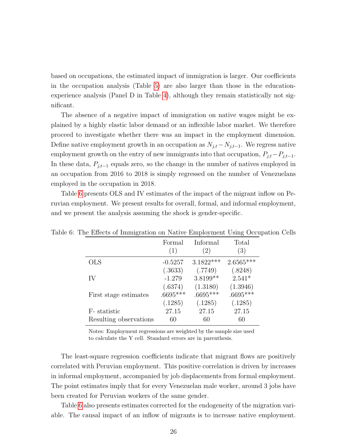based on occupations, the estimated impact of immigration is larger. Our coefficients in the occupation analysis (Table [5\)](#page-25-0) are also larger than those in the educationexperience analysis (Panel D in Table [4\)](#page-23-0), although they remain statistically not significant.

The absence of a negative impact of immigration on native wages might be explained by a highly elastic labor demand or an inflexible labor market. We therefore proceed to investigate whether there was an impact in the employment dimension. Define native employment growth in an occupation as  $N_{j,t}-N_{j,t-1}$ . We regress native employment growth on the entry of new immigrants into that occupation,  $P_{j,t}-P_{j,t-1}$ . In these data,  $P_{j,t-1}$  equals zero, so the change in the number of natives employed in an occupation from 2016 to 2018 is simply regressed on the number of Venezuelans employed in the occupation in 2018.

Table [6](#page-26-0) presents OLS and IV estimates of the impact of the migrant inflow on Peruvian employment. We present results for overall, formal, and informal employment, and we present the analysis assuming the shock is gender-specific.

|                        | Formal<br>(1) | Informal<br>$^{'}2)$ | Total<br>(3) |
|------------------------|---------------|----------------------|--------------|
| <b>OLS</b>             | $-0.5257$     | $3.1822***$          | $2.6565***$  |
|                        | (.3633)       | (.7749)              | (.8248)      |
| IV                     | $-1.279$      | 3.8199**             | $2.541*$     |
|                        | (.6374)       | (1.3180)             | (1.3946)     |
| First stage estimates  | $.6695***$    | $.6695***$           | $.6695***$   |
|                        | (.1285)       | (.1285)              | (.1285)      |
| F-statistic            | 27.15         | 27.15                | 27.15        |
| Resulting observations | 60            | 60                   | 60           |

<span id="page-26-0"></span>Table 6: The Effects of Immigration on Native Employment Using Occupation Cells

Notes: Employment regressions are weighted by the sample size used to calculate the Y cell. Standard errors are in parenthesis.

The least-square regression coefficients indicate that migrant flows are positively correlated with Peruvian employment. This positive correlation is driven by increases in informal employment, accompanied by job displacements from formal employment. The point estimates imply that for every Venezuelan male worker, around 3 jobs have been created for Peruvian workers of the same gender.

Table [6](#page-26-0) also presents estimates corrected for the endogeneity of the migration variable. The causal impact of an inflow of migrants is to increase native employment.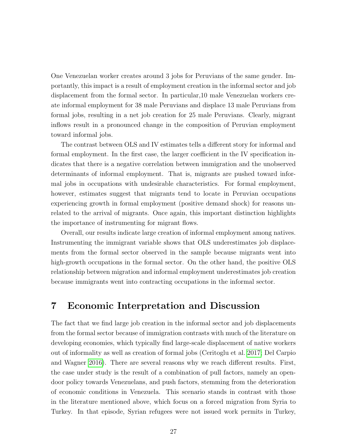One Venezuelan worker creates around 3 jobs for Peruvians of the same gender. Importantly, this impact is a result of employment creation in the informal sector and job displacement from the formal sector. In particular,10 male Venezuelan workers create informal employment for 38 male Peruvians and displace 13 male Peruvians from formal jobs, resulting in a net job creation for 25 male Peruvians. Clearly, migrant inflows result in a pronounced change in the composition of Peruvian employment toward informal jobs.

The contrast between OLS and IV estimates tells a different story for informal and formal employment. In the first case, the larger coefficient in the IV specification indicates that there is a negative correlation between immigration and the unobserved determinants of informal employment. That is, migrants are pushed toward informal jobs in occupations with undesirable characteristics. For formal employment, however, estimates suggest that migrants tend to locate in Peruvian occupations experiencing growth in formal employment (positive demand shock) for reasons unrelated to the arrival of migrants. Once again, this important distinction highlights the importance of instrumenting for migrant flows.

Overall, our results indicate large creation of informal employment among natives. Instrumenting the immigrant variable shows that OLS underestimates job displacements from the formal sector observed in the sample because migrants went into high-growth occupations in the formal sector. On the other hand, the positive OLS relationship between migration and informal employment underestimates job creation because immigrants went into contracting occupations in the informal sector.

### <span id="page-27-0"></span>7 Economic Interpretation and Discussion

The fact that we find large job creation in the informal sector and job displacements from the formal sector because of immigration contrasts with much of the literature on developing economies, which typically find large-scale displacement of native workers out of informality as well as creation of formal jobs (Ceritoglu et al. [2017;](#page-33-3) Del Carpio and Wagner [2016\)](#page-34-5). There are several reasons why we reach different results. First, the case under study is the result of a combination of pull factors, namely an opendoor policy towards Venezuelans, and push factors, stemming from the deterioration of economic conditions in Venezuela. This scenario stands in contrast with those in the literature mentioned above, which focus on a forced migration from Syria to Turkey. In that episode, Syrian refugees were not issued work permits in Turkey,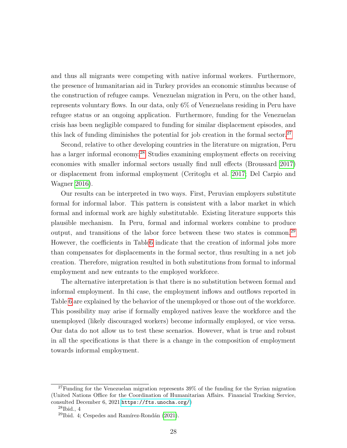and thus all migrants were competing with native informal workers. Furthermore, the presence of humanitarian aid in Turkey provides an economic stimulus because of the construction of refugee camps. Venezuelan migration in Peru, on the other hand, represents voluntary flows. In our data, only 6% of Venezuelans residing in Peru have refugee status or an ongoing application. Furthermore, funding for the Venezuelan crisis has been negligible compared to funding for similar displacement episodes, and this lack of funding diminishes the potential for job creation in the formal sector.<sup>[27](#page-1-0)</sup>

Second, relative to other developing countries in the literature on migration, Peru has a larger informal economy.<sup>[28](#page-1-0)</sup> Studies examining employment effects on receiving economies with smaller informal sectors usually find null effects (Broussard [2017\)](#page-32-5) or displacement from informal employment (Ceritoglu et al. [2017;](#page-33-3) Del Carpio and Wagner [2016\)](#page-34-5).

Our results can be interpreted in two ways. First, Peruvian employers substitute formal for informal labor. This pattern is consistent with a labor market in which formal and informal work are highly substitutable. Existing literature supports this plausible mechanism. In Peru, formal and informal workers combine to produce output, and transitions of the labor force between these two states is common.[29](#page-1-0) However, the coefficients in Tabl[e6](#page-26-0) indicate that the creation of informal jobs more than compensates for displacements in the formal sector, thus resulting in a net job creation. Therefore, migration resulted in both substitutions from formal to informal employment and new entrants to the employed workforce.

The alternative interpretation is that there is no substitution between formal and informal employment. In thi case, the employment inflows and outflows reported in Table [6](#page-26-0) are explained by the behavior of the unemployed or those out of the workforce. This possibility may arise if formally employed natives leave the workforce and the unemployed (likely discouraged workers) become informally employed, or vice versa. Our data do not allow us to test these scenarios. However, what is true and robust in all the specifications is that there is a change in the composition of employment towards informal employment.

 $27$ Funding for the Venezuelan migration represents  $39\%$  of the funding for the Syrian migration (United Nations Office for the Coordination of Humanitarian Affairs. Financial Tracking Service, consulted December 6, 2021.[https://fts.unocha.org/]( https://fts.unocha.org/))

 $^{28}$ Ibid., 4

 $29$ Ibid. 4; Cespedes and Ramírez-Rondán [\(2021\)](#page-33-7).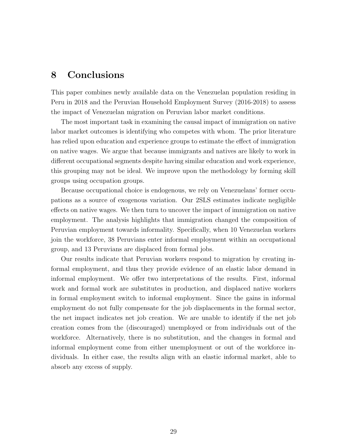#### <span id="page-29-0"></span>8 Conclusions

This paper combines newly available data on the Venezuelan population residing in Peru in 2018 and the Peruvian Household Employment Survey (2016-2018) to assess the impact of Venezuelan migration on Peruvian labor market conditions.

The most important task in examining the causal impact of immigration on native labor market outcomes is identifying who competes with whom. The prior literature has relied upon education and experience groups to estimate the effect of immigration on native wages. We argue that because immigrants and natives are likely to work in different occupational segments despite having similar education and work experience, this grouping may not be ideal. We improve upon the methodology by forming skill groups using occupation groups.

Because occupational choice is endogenous, we rely on Venezuelans' former occupations as a source of exogenous variation. Our 2SLS estimates indicate negligible effects on native wages. We then turn to uncover the impact of immigration on native employment. The analysis highlights that immigration changed the composition of Peruvian employment towards informality. Specifically, when 10 Venezuelan workers join the workforce, 38 Peruvians enter informal employment within an occupational group, and 13 Peruvians are displaced from formal jobs.

Our results indicate that Peruvian workers respond to migration by creating informal employment, and thus they provide evidence of an elastic labor demand in informal employment. We offer two interpretations of the results. First, informal work and formal work are substitutes in production, and displaced native workers in formal employment switch to informal employment. Since the gains in informal employment do not fully compensate for the job displacements in the formal sector, the net impact indicates net job creation. We are unable to identify if the net job creation comes from the (discouraged) unemployed or from individuals out of the workforce. Alternatively, there is no substitution, and the changes in formal and informal employment come from either unemployment or out of the workforce individuals. In either case, the results align with an elastic informal market, able to absorb any excess of supply.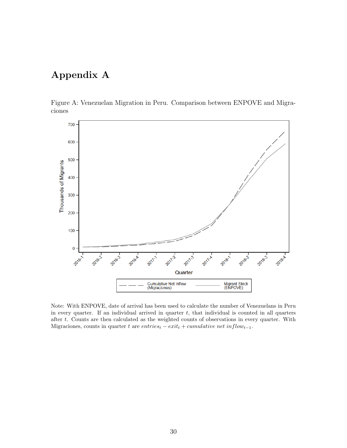# Appendix A

Figure A: Venezuelan Migration in Peru. Comparison between ENPOVE and Migraciones



Note: With ENPOVE, date of arrival has been used to calculate the number of Venezuelans in Peru in every quarter. If an individual arrived in quarter  $t$ , that individual is counted in all quarters after t. Counts are then calculated as the weighted counts of observations in every quarter. With Migraciones, counts in quarter t are  $entries_t - exit_t + cumulative net inflow_{t-1}$ .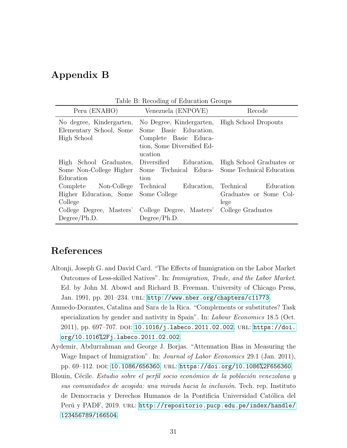## Appendix B

| rable <b>D</b> : Recounty of Buddenburg droups |                                               |                                                |  |
|------------------------------------------------|-----------------------------------------------|------------------------------------------------|--|
| Peru (ENAHO)                                   | Venezuela (ENPOVE)                            | Recode                                         |  |
| No degree, Kindergarten,                       | No Degree, Kindergarten, High School Dropouts |                                                |  |
| Elementary School, Some                        | Some Basic Education,                         |                                                |  |
| High School                                    | Complete Basic Educa-                         |                                                |  |
|                                                | tion, Some Diversified Ed-                    |                                                |  |
|                                                | ucation                                       |                                                |  |
| High School Graduates,                         | Diversified                                   | Education, High School Graduates or            |  |
| Some Non-College Higher                        |                                               | Some Technical Educa- Some Technical Education |  |
| Education                                      | tion                                          |                                                |  |
| Complete Non-College                           | Technical<br>Education,                       | Technical<br>Education                         |  |
| Higher Education, Some                         | Some College                                  | Graduates or Some Col-                         |  |
| College                                        |                                               | lege                                           |  |
| College Degree, Masters'                       | College Degree, Masters' College Graduates    |                                                |  |
| Degree/Ph.D.                                   | Degree/Ph.D.                                  |                                                |  |

Table B: Recoding of Education Groups

### References

- <span id="page-31-0"></span>Altonji, Joseph G. and David Card. "The Effects of Immigration on the Labor Market Outcomes of Less-skilled Natives". In: Immigration, Trade, and the Labor Market. Ed. by John M. Abowd and Richard B. Freeman. University of Chicago Press, Jan. 1991, pp. 201–234. url: <http://www.nber.org/chapters/c11773>.
- <span id="page-31-2"></span>Amuedo-Dorantes, Catalina and Sara de la Rica. "Complements or substitutes? Task specialization by gender and nativity in Spain". In: *Labour Economics* 18.5 (Oct. 2011), pp. 697-707. DOI:  $10.1016/j$ .labeco.2011.02.002. URL: [https://doi.](https://doi.org/10.1016%2Fj.labeco.2011.02.002) [org/10.1016%2Fj.labeco.2011.02.002](https://doi.org/10.1016%2Fj.labeco.2011.02.002).
- <span id="page-31-3"></span>Aydemir, Abdurrahman and George J. Borjas. "Attenuation Bias in Measuring the Wage Impact of Immigration". In: Journal of Labor Economics 29.1 (Jan. 2011), pp. 69-112. DOI: [10.1086/656360](https://doi.org/10.1086/656360). URL: <https://doi.org/10.1086%2F656360>.
- <span id="page-31-1"></span>Blouin, Cécile. Estudio sobre el perfil socio económico de la población venezolana y sus comunidades de acogida: una mirada hacia la inclusión. Tech. rep. Instituto de Democracia y Derechos Humanos de la Pontificia Universidad Católica del Perú y PADF, 2019. URL: [http://repositorio.pucp.edu.pe/index/handle/](http://repositorio.pucp.edu.pe/index/handle/123456789/166504) [123456789/166504](http://repositorio.pucp.edu.pe/index/handle/123456789/166504).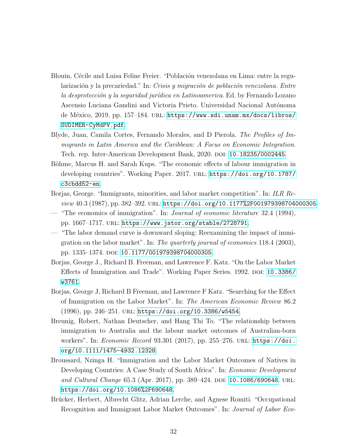- <span id="page-32-9"></span>Blouin, Cécile and Luisa Feline Freier. "Población venezolana en Lima: entre la regularización y la precariedad." In: Crisis y migración de población venezolana. Entre la desprotección y la seguridad jurídica en Latinoamerica. Ed. by Fernando Lozano Ascensio Luciana Gandini and Victoria Prieto. Universidad Nacional Autónoma de México, 2019, pp. 157–184. URL: [https://www.sdi.unam.mx/docs/libros/](https://www.sdi.unam.mx/docs/libros/SUDIMER-CyMdPV.pdf) [SUDIMER-CyMdPV.pdf](https://www.sdi.unam.mx/docs/libros/SUDIMER-CyMdPV.pdf).
- <span id="page-32-10"></span>Blyde, Juan, Camila Cortes, Fernando Morales, and D Pierola. The Profiles of Immigrants in Latin America and the Caribbean: A Focus on Economic Integration. Tech. rep. Inter-American Development Bank, 2020. doi: [10.18235/0002445](https://doi.org/10.18235/0002445).
- <span id="page-32-6"></span>Böhme, Marcus H. and Sarah Kups. "The economic effects of labour immigration in developing countries". Working Paper. 2017. URL: [https://doi.org/10.1787/](https://doi.org/10.1787/c3cbdd52-en) [c3cbdd52-en](https://doi.org/10.1787/c3cbdd52-en).
- <span id="page-32-1"></span>Borjas, George. "Immigrants, minorities, and labor market competition". In: ILR Re $view\ 40.3\ (1987), pp. \ 382-392. \ \, \text{URL: https://doi.org/10.1177\%2F001979398704000305.}$
- <span id="page-32-0"></span>— "The economics of immigration". In: Journal of economic literature 32.4 (1994), pp. 1667–1717. url: <https://www.jstor.org/stable/2728791>.
- <span id="page-32-4"></span>— "The labor demand curve is downward sloping: Reexamining the impact of immigration on the labor market". In: The quarterly journal of economics 118.4 (2003), pp. 1335-1374. DOI: [10.1177/001979398704000305](https://doi.org/10.1177/001979398704000305).
- <span id="page-32-2"></span>Borjas, George J., Richard B. Freeman, and Lawrence F. Katz. "On the Labor Market Effects of Immigration and Trade". Working Paper Series. 1992. DOI: [10.3386/](https://doi.org/10.3386/w3761) [w3761](https://doi.org/10.3386/w3761).
- <span id="page-32-3"></span>Borjas, George J, Richard B Freeman, and Lawrence F Katz. "Searching for the Effect of Immigration on the Labor Market". In: The American Economic Review 86.2  $(1996)$ , pp. 246–251. URL: <https://doi.org/10.3386/w5454>.
- <span id="page-32-7"></span>Breunig, Robert, Nathan Deutscher, and Hang Thi To. "The relationship between immigration to Australia and the labour market outcomes of Australian-born workers". In: *Economic Record* 93.301 (2017), pp. 255-276. URL: [https://doi.](https://doi.org/10.1111/1475-4932.12328) [org/10.1111/1475-4932.12328](https://doi.org/10.1111/1475-4932.12328).
- <span id="page-32-5"></span>Broussard, Nzinga H. "Immigration and the Labor Market Outcomes of Natives in Developing Countries: A Case Study of South Africa". In: Economic Development and Cultural Change 65.3 (Apr. 2017), pp. 389–424. DOI: [10.1086/690648](https://doi.org/10.1086/690648). URL: <https://doi.org/10.1086%2F690648>.
- <span id="page-32-8"></span>Brücker, Herbert, Albrecht Glitz, Adrian Lerche, and Agnese Romiti. "Occupational Recognition and Immigrant Labor Market Outcomes". In: Journal of Labor Eco-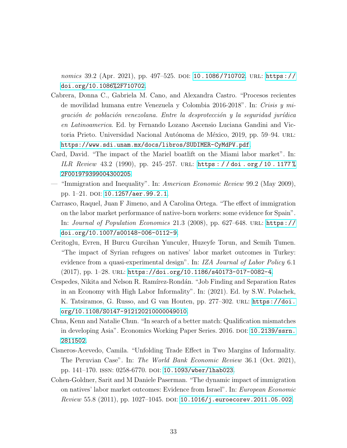nomics 39.2 (Apr. 2021), pp. 497–525. doi: [10.1086/710702](https://doi.org/10.1086/710702). url: [https://](https://doi.org/10.1086%2F710702) [doi.org/10.1086%2F710702](https://doi.org/10.1086%2F710702).

- <span id="page-33-6"></span>Cabrera, Donna C., Gabriela M. Cano, and Alexandra Castro. "Procesos recientes de movilidad humana entre Venezuela y Colombia 2016-2018". In: Crisis y mi $gración de población venezolana. Entre la desprotección y la sequridad jurídica$ en Latinoamerica. Ed. by Fernando Lozano Ascensio Luciana Gandini and Victoria Prieto. Universidad Nacional Autónoma de México, 2019, pp. 59–94. url.: <https://www.sdi.unam.mx/docs/libros/SUDIMER-CyMdPV.pdf>.
- Card, David. "The impact of the Mariel boatlift on the Miami labor market". In: ILR Review 43.2 (1990), pp. 245-257. URL: https://doi.org/10.1177% [2F001979399004300205](https://doi.org/10.1177%2F001979399004300205).
- <span id="page-33-0"></span>— "Immigration and Inequality". In: American Economic Review 99.2 (May 2009), pp. 1-21. DOI: [10.1257/aer.99.2.1](https://doi.org/10.1257/aer.99.2.1).
- <span id="page-33-4"></span>Carrasco, Raquel, Juan F Jimeno, and A Carolina Ortega. "The effect of immigration on the labor market performance of native-born workers: some evidence for Spain". In: Journal of Population Economics 21.3 (2008), pp. 627–648. url: [https://](https://doi.org/10.1007/s00148-006-0112-9) [doi.org/10.1007/s00148-006-0112-9](https://doi.org/10.1007/s00148-006-0112-9).
- <span id="page-33-3"></span>Ceritoglu, Evren, H Burcu Gurcihan Yunculer, Huzeyfe Torun, and Semih Tumen. "The impact of Syrian refugees on natives' labor market outcomes in Turkey: evidence from a quasi-experimental design". In: IZA Journal of Labor Policy 6.1  $(2017)$ , pp. 1–28. URL: <https://doi.org/10.1186/s40173-017-0082-4>.
- <span id="page-33-7"></span>Cespedes, Nikita and Nelson R. Ramírez-Rondán. "Job Finding and Separation Rates in an Economy with High Labor Informality". In: (2021). Ed. by S.W. Polachek, K. Tatsiramos, G. Russo, and G van Houten, pp. 277-302. URL: [https://doi.](https://doi.org/10.1108/S0147-912120210000049010) [org/10.1108/S0147-912120210000049010](https://doi.org/10.1108/S0147-912120210000049010).
- <span id="page-33-5"></span>Chua, Kenn and Natalie Chun. "In search of a better match: Qualification mismatches in developing Asia". Economics Working Paper Series. 2016. DOI: [10.2139/ssrn.](https://doi.org/10.2139/ssrn.2811502) [2811502](https://doi.org/10.2139/ssrn.2811502).
- <span id="page-33-2"></span>Cisneros-Acevedo, Camila. "Unfolding Trade Effect in Two Margins of Informality. The Peruvian Case". In: The World Bank Economic Review 36.1 (Oct. 2021), pp. 141-170. ISSN: 0258-6770. DOI: [10.1093/wber/lhab023](https://doi.org/10.1093/wber/lhab023).
- <span id="page-33-1"></span>Cohen-Goldner, Sarit and M Daniele Paserman. "The dynamic impact of immigration on natives' labor market outcomes: Evidence from Israel". In: European Economic *Review* 55.8 (2011), pp. 1027–1045. DOI: [10.1016/j.euroecorev.2011.05.002](https://doi.org/10.1016/j.euroecorev.2011.05.002).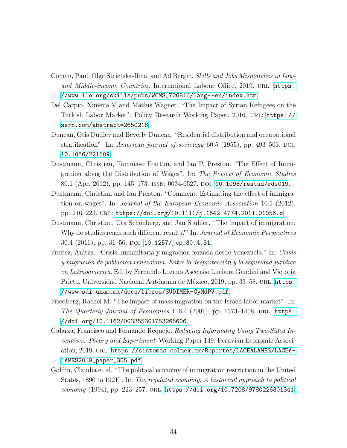- <span id="page-34-9"></span>Comyn, Paul, Olga Strietska-Ilina, and Ad Bergin. Skills and Jobs Mismatches in Lowand Middle-income Countries. International Labour Office, 2019. URL: [https :](https://www.ilo.org/skills/pubs/WCMS_726816/lang--en/index.htm) [//www.ilo.org/skills/pubs/WCMS\\_726816/lang--en/index.htm](https://www.ilo.org/skills/pubs/WCMS_726816/lang--en/index.htm).
- <span id="page-34-5"></span>Del Carpio, Ximena V and Mathis Wagner. "The Impact of Syrian Refugees on the Turkish Labor Market". Policy Research Working Paper. 2016. url: [https://](https://ssrn.com/abstract=2650218) [ssrn.com/abstract=2650218](https://ssrn.com/abstract=2650218).
- <span id="page-34-6"></span>Duncan, Otis Dudley and Beverly Duncan. "Residential distribution and occupational stratification". In: American journal of sociology  $60.5$  (1955), pp. 493–503. DOI: [10.1086/221609](https://doi.org/10.1086/221609).
- <span id="page-34-1"></span>Dustmann, Christian, Tommaso Frattini, and Ian P. Preston. "The Effect of Immigration along the Distribution of Wages". In: The Review of Economic Studies 80.1 (Apr. 2012), pp. 145–173. issn: 0034-6527. doi: [10.1093/restud/rds019](https://doi.org/10.1093/restud/rds019).
- <span id="page-34-2"></span>Dustmann, Christian and Ian Preston. "Comment: Estimating the effect of immigration on wages". In: Journal of the European Economic Association 10.1 (2012), pp. 216–223. url: <https://doi.org/10.1111/j.1542-4774.2011.01056.x>.
- <span id="page-34-7"></span>Dustmann, Christian, Uta Schönberg, and Jan Stuhler. "The impact of immigration: Why do studies reach such different results?" In: Journal of Economic Perspectives 30.4 (2016), pp. 31–56. DOI: [10.1257/jep.30.4.31](https://doi.org/10.1257/jep.30.4.31).
- <span id="page-34-8"></span>Freitez, Anitza. "Crisis humanitaria y migración forzada desde Venezuela." In: Crisis y migración de población venezolana. Entre la desprotección y la seguridad jurídica en Latinoamerica. Ed. by Fernando Lozano Ascensio Luciana Gandini and Victoria Prieto. Universidad Nacional Autónoma de México, 2019, pp. 33–58. url: [https:](https://www.sdi.unam.mx/docs/libros/SUDIMER-CyMdPV.pdf) [//www.sdi.unam.mx/docs/libros/SUDIMER-CyMdPV.pdf](https://www.sdi.unam.mx/docs/libros/SUDIMER-CyMdPV.pdf).
- <span id="page-34-3"></span>Friedberg, Rachel M. "The impact of mass migration on the Israeli labor market". In: The Quarterly Journal of Economics 116.4 (2001), pp. 1373-1408. URL: [https:](https://doi.org/10.1162/003355301753265606) [//doi.org/10.1162/003355301753265606](https://doi.org/10.1162/003355301753265606).
- <span id="page-34-4"></span>Galarza, Francisco and Fernando Requejo. Reducing Informality Using Two-Sided Incentives: Theory and Experiment. Working Paper 149. Peruvian Economic Association, 2019. url: [https://sistemas.colmex.mx/Reportes/LACEALAMES/LACEA-](https://sistemas.colmex.mx/Reportes/LACEALAMES/LACEA-LAMES2019_paper_305.pdf)[LAMES2019\\_paper\\_305.pdf](https://sistemas.colmex.mx/Reportes/LACEALAMES/LACEA-LAMES2019_paper_305.pdf).
- <span id="page-34-0"></span>Goldin, Claudia et al. "The political economy of immigration restriction in the United States, 1890 to 1921". In: The regulated economy: A historical approach to political  $e_{\text{conomy}}$  (1994), pp. 223–257. URL: <https://doi.org/10.7208/9780226301341>.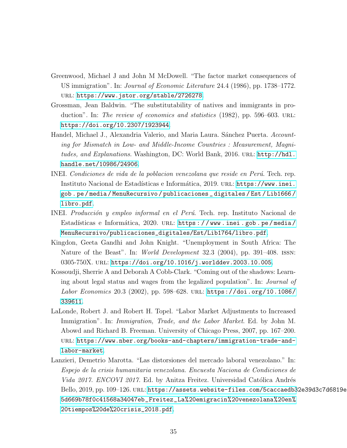- <span id="page-35-0"></span>Greenwood, Michael J and John M McDowell. "The factor market consequences of US immigration". In: Journal of Economic Literature 24.4 (1986), pp. 1738–1772. url: <https://www.jstor.org/stable/2726278>.
- <span id="page-35-1"></span>Grossman, Jean Baldwin. "The substitutability of natives and immigrants in production". In: The review of economics and statistics (1982), pp. 596–603. URL: <https://doi.org/10.2307/1923944>.
- <span id="page-35-8"></span>Handel, Michael J., Alexandria Valerio, and Maria Laura. Sánchez Puerta. Accounting for Mismatch in Low- and Middle-Income Countries : Measurement, Magnitudes, and Explanations. Washington, DC: World Bank, 2016. unl: [http://hdl.](http://hdl.handle.net/10986/24906) [handle.net/10986/24906](http://hdl.handle.net/10986/24906).
- <span id="page-35-5"></span>INEI. Condiciones de vida de la poblacion venezolana que reside en Perú. Tech. rep. Instituto Nacional de Estadísticas e Informática, 2019. URL: [https://www.inei.](https://www.inei.gob.pe/media/MenuRecursivo/publicaciones_digitales/Est/Lib1666/libro.pdf) [gob . pe / media / MenuRecursivo / publicaciones \\_ digitales / Est / Lib1666 /](https://www.inei.gob.pe/media/MenuRecursivo/publicaciones_digitales/Est/Lib1666/libro.pdf) [libro.pdf](https://www.inei.gob.pe/media/MenuRecursivo/publicaciones_digitales/Est/Lib1666/libro.pdf).
- <span id="page-35-6"></span>INEI. Producción y empleo informal en el Perú. Tech. rep. Instituto Nacional de Estadísticas e Informática, 2020. URL: https://www.inei.gob.pe/media/ [MenuRecursivo/publicaciones\\_digitales/Est/Lib1764/libro.pdf](https://www.inei.gob.pe/media/MenuRecursivo/publicaciones_digitales/Est/Lib1764/libro.pdf).
- <span id="page-35-4"></span>Kingdon, Geeta Gandhi and John Knight. "Unemployment in South Africa: The Nature of the Beast". In: *World Development* 32.3 (2004), pp. 391–408. ISSN: 0305-750X. url: <https://doi.org/10.1016/j.worlddev.2003.10.005>.
- <span id="page-35-3"></span>Kossoudji, Sherrie A and Deborah A Cobb-Clark. "Coming out of the shadows: Learning about legal status and wages from the legalized population". In: Journal of Labor Economics 20.3 (2002), pp. 598-628. URL: [https://doi.org/10.1086/](https://doi.org/10.1086/339611) [339611](https://doi.org/10.1086/339611).
- <span id="page-35-2"></span>LaLonde, Robert J. and Robert H. Topel. "Labor Market Adjustments to Increased Immigration". In: *Immigration, Trade, and the Labor Market*. Ed. by John M. Abowd and Richard B. Freeman. University of Chicago Press, 2007, pp. 167–200. url: [https://www.nber.org/books-and-chapters/immigration-trade-and](https://www.nber.org/books-and-chapters/immigration-trade-and-labor-market)[labor-market](https://www.nber.org/books-and-chapters/immigration-trade-and-labor-market).
- <span id="page-35-7"></span>Lanzieri, Demetrio Marotta. "Las distorsiones del mercado laboral venezolano." In: Espejo de la crisis humanitaria venezolana. Encuesta Naciona de Condiciones de Vida 2017. ENCOVI 2017. Ed. by Anitza Freitez. Universidad Católica Andrés Bello, 2019, pp. 109–126. url: [https://assets.website-files.com/5caccaedb3](https://assets.website-files.com/5caccaedb32e39d3c7d6819e/5d669b78f0c41568a34047eb_Freitez_La%20emigración%20venezolana%20en%20tiempos%20de%20crisis_2018.pdf)2e39d3c7d6819e/ [5d669b78f0c41568a34047eb\\_Freitez\\_La%20emigracin%20venezolana%20en%](https://assets.website-files.com/5caccaedb32e39d3c7d6819e/5d669b78f0c41568a34047eb_Freitez_La%20emigración%20venezolana%20en%20tiempos%20de%20crisis_2018.pdf) [20tiempos%20de%20crisis\\_2018.pdf](https://assets.website-files.com/5caccaedb32e39d3c7d6819e/5d669b78f0c41568a34047eb_Freitez_La%20emigración%20venezolana%20en%20tiempos%20de%20crisis_2018.pdf).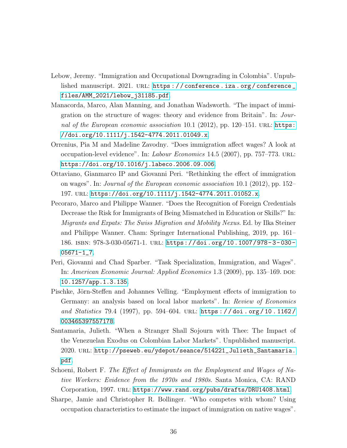- <span id="page-36-7"></span>Lebow, Jeremy. "Immigration and Occupational Downgrading in Colombia". Unpublished manuscript. 2021. URL: https://conference.iza.org/conference\_ [files/AMM\\_2021/lebow\\_j31185.pdf](https://conference.iza.org/conference_files/AMM_2021/lebow_j31185.pdf).
- <span id="page-36-2"></span>Manacorda, Marco, Alan Manning, and Jonathan Wadsworth. "The impact of immigration on the structure of wages: theory and evidence from Britain". In: Journal of the European economic association 10.1 (2012), pp. 120–151. URL: [https:](https://doi.org/10.1111/j.1542-4774.2011.01049.x) [//doi.org/10.1111/j.1542-4774.2011.01049.x](https://doi.org/10.1111/j.1542-4774.2011.01049.x).
- <span id="page-36-4"></span>Orrenius, Pia M and Madeline Zavodny. "Does immigration affect wages? A look at occupation-level evidence". In: Labour Economics 14.5 (2007), pp. 757–773. url: <https://doi.org/10.1016/j.labeco.2006.09.006>.
- <span id="page-36-3"></span>Ottaviano, Gianmarco IP and Giovanni Peri. "Rethinking the effect of immigration on wages". In: Journal of the European economic association 10.1 (2012), pp. 152– 197. url: <https://doi.org/10.1111/j.1542-4774.2011.01052.x>.
- <span id="page-36-6"></span>Pecoraro, Marco and Philippe Wanner. "Does the Recognition of Foreign Credentials Decrease the Risk for Immigrants of Being Mismatched in Education or Skills?" In: Migrants and Expats: The Swiss Migration and Mobility Nexus. Ed. by Ilka Steiner and Philippe Wanner. Cham: Springer International Publishing, 2019, pp. 161– 186. isbn: 978-3-030-05671-1. url: [https://doi.org/10.1007/978- 3- 030-](https://doi.org/10.1007/978-3-030-05671-1_7) [05671-1\\_7](https://doi.org/10.1007/978-3-030-05671-1_7).
- <span id="page-36-8"></span>Peri, Giovanni and Chad Sparber. "Task Specialization, Immigration, and Wages". In: American Economic Journal: Applied Economics 1.3 (2009), pp. 135–169. doi: [10.1257/app.1.3.135](https://doi.org/10.1257/app.1.3.135).
- <span id="page-36-0"></span>Pischke, Jörn-Steffen and Johannes Velling. "Employment effects of immigration to Germany: an analysis based on local labor markets". In: Review of Economics and Statistics 79.4 (1997), pp. 594–604. URL: https://doi.org/10.1162/ [003465397557178](https://doi.org/10.1162/003465397557178).
- <span id="page-36-9"></span>Santamaria, Julieth. "When a Stranger Shall Sojourn with Thee: The Impact of the Venezuelan Exodus on Colombian Labor Markets". Unpublished manuscript. 2020. url: [http://pseweb.eu/ydepot/seance/514221\\_Julieth\\_Santamaria.](http://pseweb.eu/ydepot/seance/514221_Julieth_Santamaria.pdf) [pdf](http://pseweb.eu/ydepot/seance/514221_Julieth_Santamaria.pdf).
- <span id="page-36-1"></span>Schoeni, Robert F. The Effect of Immigrants on the Employment and Wages of Native Workers: Evidence from the 1970s and 1980s. Santa Monica, CA: RAND Corporation, 1997. URL: <https://www.rand.org/pubs/drafts/DRU1408.html>.
- <span id="page-36-5"></span>Sharpe, Jamie and Christopher R. Bollinger. "Who competes with whom? Using occupation characteristics to estimate the impact of immigration on native wages".